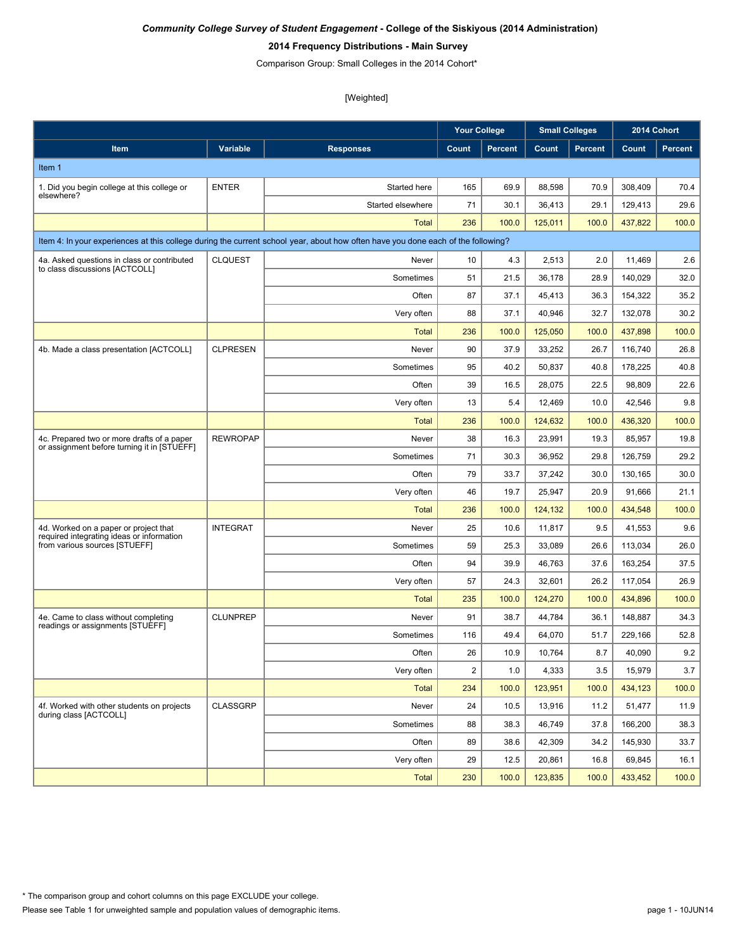#### **2014 Frequency Distributions - Main Survey**

Comparison Group: Small Colleges in the 2014 Cohort\*

|                                                                                           |                 |                                                                                                                                  | <b>Your College</b> |                |         | <b>Small Colleges</b> | 2014 Cohort |                |
|-------------------------------------------------------------------------------------------|-----------------|----------------------------------------------------------------------------------------------------------------------------------|---------------------|----------------|---------|-----------------------|-------------|----------------|
| Item                                                                                      | Variable        | <b>Responses</b>                                                                                                                 | Count               | <b>Percent</b> | Count   | <b>Percent</b>        | Count       | <b>Percent</b> |
| Item 1                                                                                    |                 |                                                                                                                                  |                     |                |         |                       |             |                |
| 1. Did you begin college at this college or                                               | <b>ENTER</b>    | Started here                                                                                                                     | 165                 | 69.9           | 88,598  | 70.9                  | 308,409     | 70.4           |
| elsewhere?                                                                                |                 | Started elsewhere                                                                                                                | 71                  | 30.1           | 36,413  | 29.1                  | 129,413     | 29.6           |
|                                                                                           |                 | Total                                                                                                                            | 236                 | 100.0          | 125,011 | 100.0                 | 437,822     | 100.0          |
|                                                                                           |                 | Item 4: In your experiences at this college during the current school year, about how often have you done each of the following? |                     |                |         |                       |             |                |
| 4a. Asked questions in class or contributed                                               | <b>CLQUEST</b>  | Never                                                                                                                            | 10                  | 4.3            | 2,513   | 2.0                   | 11,469      | 2.6            |
| to class discussions [ACTCOLL]                                                            |                 | Sometimes                                                                                                                        | 51                  | 21.5           | 36,178  | 28.9                  | 140,029     | 32.0           |
|                                                                                           |                 | Often                                                                                                                            | 87                  | 37.1           | 45,413  | 36.3                  | 154,322     | 35.2           |
|                                                                                           |                 | Very often                                                                                                                       | 88                  | 37.1           | 40,946  | 32.7                  | 132,078     | 30.2           |
|                                                                                           |                 | <b>Total</b>                                                                                                                     | 236                 | 100.0          | 125,050 | 100.0                 | 437,898     | 100.0          |
| 4b. Made a class presentation [ACTCOLL]                                                   | <b>CLPRESEN</b> | Never                                                                                                                            | 90                  | 37.9           | 33,252  | 26.7                  | 116,740     | 26.8           |
|                                                                                           |                 | Sometimes                                                                                                                        | 95                  | 40.2           | 50,837  | 40.8                  | 178,225     | 40.8           |
|                                                                                           |                 | Often                                                                                                                            | 39                  | 16.5           | 28.075  | 22.5                  | 98,809      | 22.6           |
|                                                                                           |                 | Very often                                                                                                                       | 13                  | 5.4            | 12,469  | 10.0                  | 42,546      | 9.8            |
|                                                                                           |                 | <b>Total</b>                                                                                                                     | 236                 | 100.0          | 124,632 | 100.0                 | 436,320     | 100.0          |
| 4c. Prepared two or more drafts of a paper<br>or assignment before turning it in [STUEFF] | <b>REWROPAP</b> | Never                                                                                                                            | 38                  | 16.3           | 23,991  | 19.3                  | 85,957      | 19.8           |
|                                                                                           |                 | Sometimes                                                                                                                        | 71                  | 30.3           | 36,952  | 29.8                  | 126,759     | 29.2           |
|                                                                                           |                 | Often                                                                                                                            | 79                  | 33.7           | 37,242  | 30.0                  | 130,165     | 30.0           |
|                                                                                           |                 | Very often                                                                                                                       | 46                  | 19.7           | 25,947  | 20.9                  | 91,666      | 21.1           |
|                                                                                           |                 | Total                                                                                                                            | 236                 | 100.0          | 124,132 | 100.0                 | 434,548     | 100.0          |
| 4d. Worked on a paper or project that<br>required integrating ideas or information        | <b>INTEGRAT</b> | Never                                                                                                                            | 25                  | 10.6           | 11,817  | 9.5                   | 41,553      | 9.6            |
| from various sources [STUEFF]                                                             |                 | Sometimes                                                                                                                        | 59                  | 25.3           | 33,089  | 26.6                  | 113,034     | 26.0           |
|                                                                                           |                 | Often                                                                                                                            | 94                  | 39.9           | 46,763  | 37.6                  | 163,254     | 37.5           |
|                                                                                           |                 | Very often                                                                                                                       | 57                  | 24.3           | 32,601  | 26.2                  | 117,054     | 26.9           |
|                                                                                           |                 | Total                                                                                                                            | 235                 | 100.0          | 124,270 | 100.0                 | 434,896     | 100.0          |
| 4e. Came to class without completing<br>readings or assignments [STUEFF]                  | <b>CLUNPREP</b> | Never                                                                                                                            | 91                  | 38.7           | 44,784  | 36.1                  | 148,887     | 34.3           |
|                                                                                           |                 | Sometimes                                                                                                                        | 116                 | 49.4           | 64,070  | 51.7                  | 229,166     | 52.8           |
|                                                                                           |                 | Often                                                                                                                            | 26                  | 10.9           | 10,764  | 8.7                   | 40,090      | 9.2            |
|                                                                                           |                 | Very often                                                                                                                       | $\overline{2}$      | 1.0            | 4,333   | 3.5                   | 15,979      | 3.7            |
|                                                                                           |                 | <b>Total</b>                                                                                                                     | 234                 | 100.0          | 123,951 | 100.0                 | 434,123     | 100.0          |
| 4f. Worked with other students on projects<br>during class [ACTCOLL]                      | CLASSGRP        | Never                                                                                                                            | 24                  | 10.5           | 13,916  | 11.2                  | 51,477      | 11.9           |
|                                                                                           |                 | Sometimes                                                                                                                        | 88                  | 38.3           | 46,749  | 37.8                  | 166,200     | 38.3           |
|                                                                                           |                 | Often                                                                                                                            | 89                  | 38.6           | 42,309  | 34.2                  | 145,930     | 33.7           |
|                                                                                           |                 | Very often                                                                                                                       | 29                  | 12.5           | 20,861  | 16.8                  | 69,845      | 16.1           |
|                                                                                           |                 | <b>Total</b>                                                                                                                     | 230                 | 100.0          | 123,835 | 100.0                 | 433,452     | 100.0          |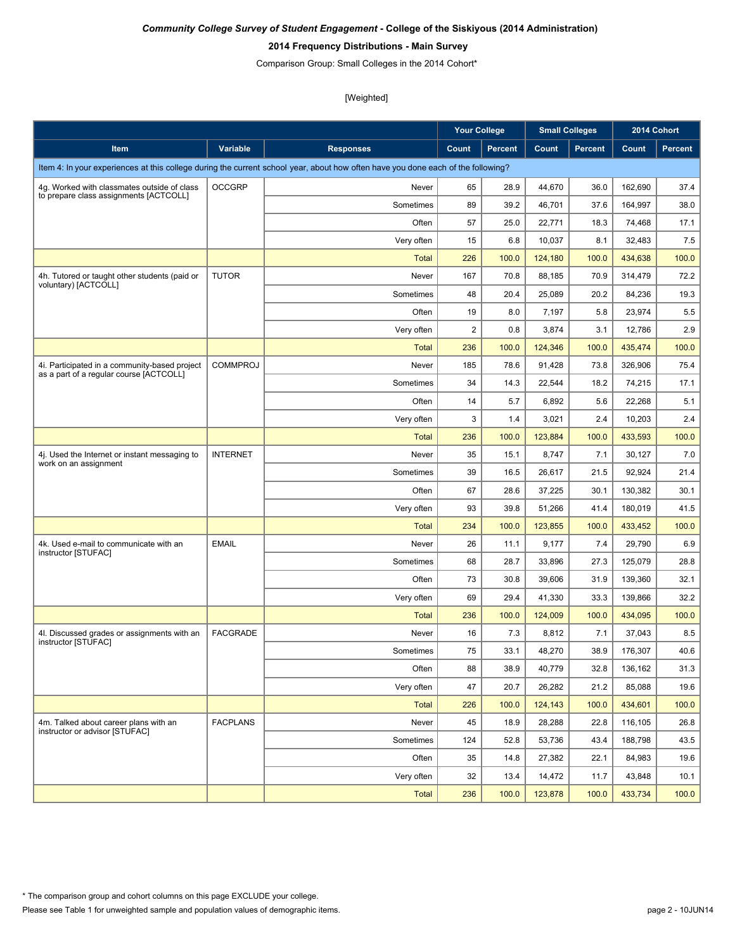#### **2014 Frequency Distributions - Main Survey**

Comparison Group: Small Colleges in the 2014 Cohort\*

|                                                                                          |                 |                                                                                                                                  | <b>Your College</b> |                |         | <b>Small Colleges</b> | 2014 Cohort |                |
|------------------------------------------------------------------------------------------|-----------------|----------------------------------------------------------------------------------------------------------------------------------|---------------------|----------------|---------|-----------------------|-------------|----------------|
| Item                                                                                     | Variable        | <b>Responses</b>                                                                                                                 | Count               | <b>Percent</b> | Count   | <b>Percent</b>        | Count       | <b>Percent</b> |
|                                                                                          |                 | Item 4: In your experiences at this college during the current school year, about how often have you done each of the following? |                     |                |         |                       |             |                |
| 4q. Worked with classmates outside of class                                              | <b>OCCGRP</b>   | Never                                                                                                                            | 65                  | 28.9           | 44,670  | 36.0                  | 162,690     | 37.4           |
| to prepare class assignments [ACTCOLL]                                                   |                 | Sometimes                                                                                                                        | 89                  | 39.2           | 46,701  | 37.6                  | 164,997     | 38.0           |
|                                                                                          |                 | Often                                                                                                                            | 57                  | 25.0           | 22,771  | 18.3                  | 74,468      | 17.1           |
|                                                                                          |                 | Very often                                                                                                                       | 15                  | 6.8            | 10,037  | 8.1                   | 32,483      | 7.5            |
|                                                                                          |                 | <b>Total</b>                                                                                                                     | 226                 | 100.0          | 124,180 | 100.0                 | 434,638     | 100.0          |
| 4h. Tutored or taught other students (paid or                                            | <b>TUTOR</b>    | Never                                                                                                                            | 167                 | 70.8           | 88,185  | 70.9                  | 314,479     | 72.2           |
| voluntary) [ACTCOLL]                                                                     |                 | Sometimes                                                                                                                        | 48                  | 20.4           | 25,089  | 20.2                  | 84,236      | 19.3           |
|                                                                                          |                 | Often                                                                                                                            | 19                  | 8.0            | 7,197   | 5.8                   | 23,974      | 5.5            |
|                                                                                          |                 | Very often                                                                                                                       | $\overline{c}$      | 0.8            | 3,874   | 3.1                   | 12,786      | 2.9            |
|                                                                                          |                 | <b>Total</b>                                                                                                                     | 236                 | 100.0          | 124,346 | 100.0                 | 435,474     | 100.0          |
| 4i. Participated in a community-based project<br>as a part of a regular course [ACTCOLL] | <b>COMMPROJ</b> | Never                                                                                                                            | 185                 | 78.6           | 91,428  | 73.8                  | 326.906     | 75.4           |
|                                                                                          |                 | Sometimes                                                                                                                        | 34                  | 14.3           | 22,544  | 18.2                  | 74,215      | 17.1           |
|                                                                                          |                 | Often                                                                                                                            | 14                  | 5.7            | 6,892   | 5.6                   | 22,268      | 5.1            |
|                                                                                          |                 | Very often                                                                                                                       | 3                   | 1.4            | 3,021   | 2.4                   | 10,203      | 2.4            |
|                                                                                          |                 | <b>Total</b>                                                                                                                     | 236                 | 100.0          | 123,884 | 100.0                 | 433,593     | 100.0          |
| 4j. Used the Internet or instant messaging to                                            | <b>INTERNET</b> | Never                                                                                                                            | 35                  | 15.1           | 8,747   | 7.1                   | 30,127      | 7.0            |
| work on an assignment                                                                    |                 | Sometimes                                                                                                                        | 39                  | 16.5           | 26,617  | 21.5                  | 92,924      | 21.4           |
|                                                                                          |                 | Often                                                                                                                            | 67                  | 28.6           | 37,225  | 30.1                  | 130,382     | 30.1           |
|                                                                                          |                 | Very often                                                                                                                       | 93                  | 39.8           | 51,266  | 41.4                  | 180,019     | 41.5           |
|                                                                                          |                 | <b>Total</b>                                                                                                                     | 234                 | 100.0          | 123,855 | 100.0                 | 433,452     | 100.0          |
| 4k. Used e-mail to communicate with an<br>instructor [STUFAC]                            | <b>EMAIL</b>    | Never                                                                                                                            | 26                  | 11.1           | 9,177   | 7.4                   | 29,790      | 6.9            |
|                                                                                          |                 | Sometimes                                                                                                                        | 68                  | 28.7           | 33,896  | 27.3                  | 125,079     | 28.8           |
|                                                                                          |                 | Often                                                                                                                            | 73                  | 30.8           | 39,606  | 31.9                  | 139,360     | 32.1           |
|                                                                                          |                 | Very often                                                                                                                       | 69                  | 29.4           | 41,330  | 33.3                  | 139.866     | 32.2           |
|                                                                                          |                 | <b>Total</b>                                                                                                                     | 236                 | 100.0          | 124,009 | 100.0                 | 434,095     | 100.0          |
| 4l. Discussed grades or assignments with an<br>instructor [STUFAC]                       | <b>FACGRADE</b> | Never                                                                                                                            | 16                  | 7.3            | 8,812   | 7.1                   | 37.043      | 8.5            |
|                                                                                          |                 | Sometimes                                                                                                                        | 75                  | 33.1           | 48,270  | 38.9                  | 176,307     | 40.6           |
|                                                                                          |                 | Often                                                                                                                            | 88                  | 38.9           | 40,779  | 32.8                  | 136,162     | 31.3           |
|                                                                                          |                 | Very often                                                                                                                       | 47                  | 20.7           | 26,282  | 21.2                  | 85,088      | 19.6           |
|                                                                                          |                 | <b>Total</b>                                                                                                                     | 226                 | 100.0          | 124,143 | 100.0                 | 434,601     | 100.0          |
| 4m. Talked about career plans with an<br>instructor or advisor [STUFAC]                  | <b>FACPLANS</b> | Never                                                                                                                            | 45                  | 18.9           | 28,288  | 22.8                  | 116,105     | 26.8           |
|                                                                                          |                 | Sometimes                                                                                                                        | 124                 | 52.8           | 53,736  | 43.4                  | 188,798     | 43.5           |
|                                                                                          |                 | Often                                                                                                                            | 35                  | 14.8           | 27,382  | 22.1                  | 84,983      | 19.6           |
|                                                                                          |                 | Very often                                                                                                                       | 32                  | 13.4           | 14,472  | 11.7                  | 43,848      | 10.1           |
|                                                                                          |                 | <b>Total</b>                                                                                                                     | 236                 | 100.0          | 123,878 | 100.0                 | 433,734     | 100.0          |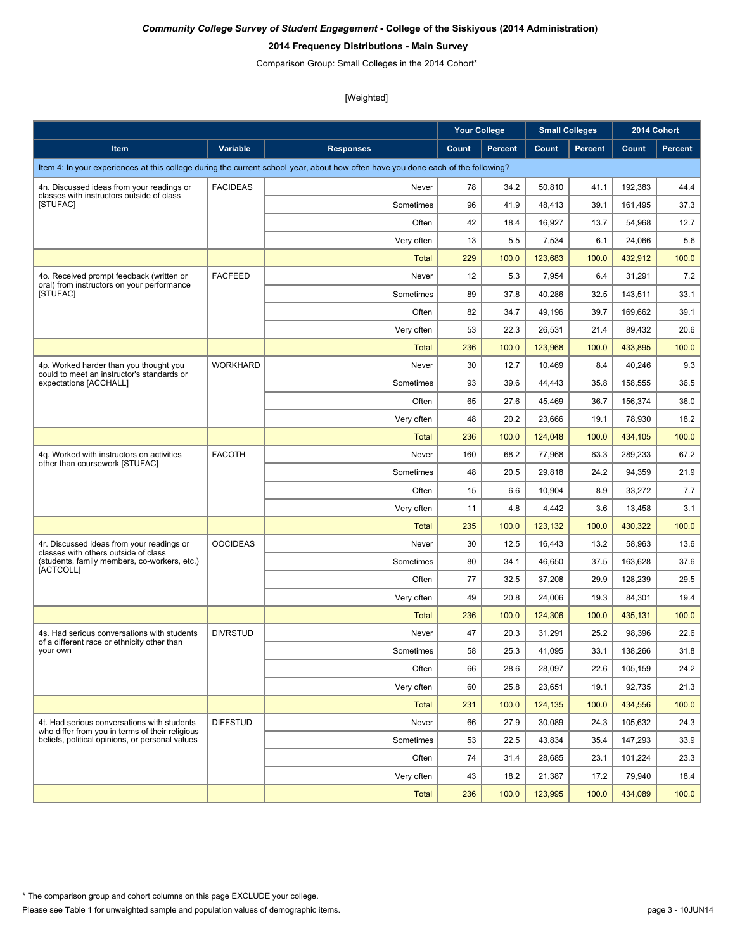#### **2014 Frequency Distributions - Main Survey**

Comparison Group: Small Colleges in the 2014 Cohort\*

|                                                                                                |                 |                                                                                                                                  | <b>Your College</b> |                | <b>Small Colleges</b> |                | 2014 Cohort |                |
|------------------------------------------------------------------------------------------------|-----------------|----------------------------------------------------------------------------------------------------------------------------------|---------------------|----------------|-----------------------|----------------|-------------|----------------|
| Item                                                                                           | <b>Variable</b> | <b>Responses</b>                                                                                                                 | Count               | <b>Percent</b> | Count                 | <b>Percent</b> | Count       | <b>Percent</b> |
|                                                                                                |                 | Item 4: In your experiences at this college during the current school year, about how often have you done each of the following? |                     |                |                       |                |             |                |
| 4n. Discussed ideas from your readings or                                                      | <b>FACIDEAS</b> | Never                                                                                                                            | 78                  | 34.2           | 50,810                | 41.1           | 192.383     | 44.4           |
| classes with instructors outside of class<br>[STUFAC]                                          |                 | Sometimes                                                                                                                        | 96                  | 41.9           | 48,413                | 39.1           | 161,495     | 37.3           |
|                                                                                                |                 | Often                                                                                                                            | 42                  | 18.4           | 16,927                | 13.7           | 54,968      | 12.7           |
|                                                                                                |                 | Very often                                                                                                                       | 13                  | 5.5            | 7,534                 | 6.1            | 24,066      | 5.6            |
|                                                                                                |                 | <b>Total</b>                                                                                                                     | 229                 | 100.0          | 123,683               | 100.0          | 432,912     | 100.0          |
| 4o. Received prompt feedback (written or                                                       | <b>FACFEED</b>  | Never                                                                                                                            | 12                  | 5.3            | 7,954                 | 6.4            | 31,291      | 7.2            |
| oral) from instructors on your performance<br>[STUFAC]                                         |                 | Sometimes                                                                                                                        | 89                  | 37.8           | 40,286                | 32.5           | 143,511     | 33.1           |
|                                                                                                |                 | Often                                                                                                                            | 82                  | 34.7           | 49,196                | 39.7           | 169,662     | 39.1           |
|                                                                                                |                 | Very often                                                                                                                       | 53                  | 22.3           | 26,531                | 21.4           | 89,432      | 20.6           |
|                                                                                                |                 | <b>Total</b>                                                                                                                     | 236                 | 100.0          | 123,968               | 100.0          | 433,895     | 100.0          |
| 4p. Worked harder than you thought you<br>could to meet an instructor's standards or           | <b>WORKHARD</b> | Never                                                                                                                            | 30                  | 12.7           | 10,469                | 8.4            | 40,246      | 9.3            |
| expectations [ACCHALL]                                                                         |                 | Sometimes                                                                                                                        | 93                  | 39.6           | 44,443                | 35.8           | 158,555     | 36.5           |
|                                                                                                |                 | Often                                                                                                                            | 65                  | 27.6           | 45,469                | 36.7           | 156,374     | 36.0           |
|                                                                                                |                 | Very often                                                                                                                       | 48                  | 20.2           | 23,666                | 19.1           | 78,930      | 18.2           |
|                                                                                                |                 | <b>Total</b>                                                                                                                     | 236                 | 100.0          | 124.048               | 100.0          | 434,105     | 100.0          |
| 4q. Worked with instructors on activities                                                      | <b>FACOTH</b>   | Never                                                                                                                            | 160                 | 68.2           | 77,968                | 63.3           | 289,233     | 67.2           |
| other than coursework [STUFAC]                                                                 |                 | Sometimes                                                                                                                        | 48                  | 20.5           | 29,818                | 24.2           | 94,359      | 21.9           |
|                                                                                                |                 | Often                                                                                                                            | 15                  | 6.6            | 10,904                | 8.9            | 33,272      | 7.7            |
|                                                                                                |                 | Very often                                                                                                                       | 11                  | 4.8            | 4,442                 | 3.6            | 13,458      | 3.1            |
|                                                                                                |                 | <b>Total</b>                                                                                                                     | 235                 | 100.0          | 123,132               | 100.0          | 430,322     | 100.0          |
| 4r. Discussed ideas from your readings or<br>classes with others outside of class              | <b>OOCIDEAS</b> | Never                                                                                                                            | 30                  | 12.5           | 16,443                | 13.2           | 58,963      | 13.6           |
| (students, family members, co-workers, etc.)                                                   |                 | Sometimes                                                                                                                        | 80                  | 34.1           | 46,650                | 37.5           | 163,628     | 37.6           |
| [ACTCOLL]                                                                                      |                 | Often                                                                                                                            | 77                  | 32.5           | 37,208                | 29.9           | 128,239     | 29.5           |
|                                                                                                |                 | Very often                                                                                                                       | 49                  | 20.8           | 24,006                | 19.3           | 84,301      | 19.4           |
|                                                                                                |                 | Total                                                                                                                            | 236                 | 100.0          | 124,306               | 100.0          | 435,131     | 100.0          |
| 4s. Had serious conversations with students<br>of a different race or ethnicity other than     | <b>DIVRSTUD</b> | Never                                                                                                                            | 47                  | 20.3           | 31,291                | 25.2           | 98,396      | 22.6           |
| your own                                                                                       |                 | Sometimes                                                                                                                        | 58                  | 25.3           | 41,095                | 33.1           | 138,266     | 31.8           |
|                                                                                                |                 | Often                                                                                                                            | 66                  | 28.6           | 28,097                | 22.6           | 105,159     | 24.2           |
|                                                                                                |                 | Very often                                                                                                                       | 60                  | 25.8           | 23,651                | 19.1           | 92,735      | 21.3           |
|                                                                                                |                 | <b>Total</b>                                                                                                                     | 231                 | 100.0          | 124,135               | 100.0          | 434,556     | 100.0          |
| 4t. Had serious conversations with students<br>who differ from you in terms of their religious | <b>DIFFSTUD</b> | Never                                                                                                                            | 66                  | 27.9           | 30,089                | 24.3           | 105,632     | 24.3           |
| beliefs, political opinions, or personal values                                                |                 | Sometimes                                                                                                                        | 53                  | 22.5           | 43,834                | 35.4           | 147,293     | 33.9           |
|                                                                                                |                 | Often                                                                                                                            | 74                  | 31.4           | 28,685                | 23.1           | 101,224     | 23.3           |
|                                                                                                |                 | Very often                                                                                                                       | 43                  | 18.2           | 21,387                | 17.2           | 79,940      | 18.4           |
|                                                                                                |                 | <b>Total</b>                                                                                                                     | 236                 | 100.0          | 123,995               | 100.0          | 434,089     | 100.0          |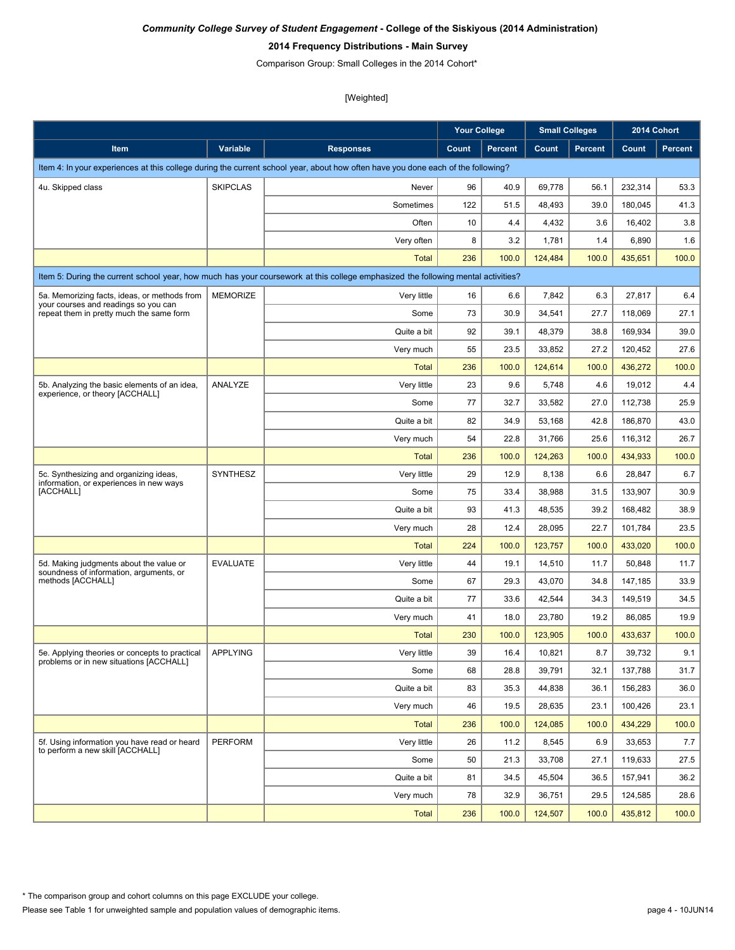### **2014 Frequency Distributions - Main Survey**

Comparison Group: Small Colleges in the 2014 Cohort\*

|                                                                                           |                 |                                                                                                                                  | <b>Your College</b> |                |         | <b>Small Colleges</b> | 2014 Cohort |         |
|-------------------------------------------------------------------------------------------|-----------------|----------------------------------------------------------------------------------------------------------------------------------|---------------------|----------------|---------|-----------------------|-------------|---------|
| Item                                                                                      | Variable        | <b>Responses</b>                                                                                                                 | Count               | <b>Percent</b> | Count   | <b>Percent</b>        | Count       | Percent |
|                                                                                           |                 | Item 4: In your experiences at this college during the current school year, about how often have you done each of the following? |                     |                |         |                       |             |         |
| 4u. Skipped class                                                                         | <b>SKIPCLAS</b> | Never                                                                                                                            | 96                  | 40.9           | 69,778  | 56.1                  | 232,314     | 53.3    |
|                                                                                           |                 | Sometimes                                                                                                                        | 122                 | 51.5           | 48,493  | 39.0                  | 180,045     | 41.3    |
|                                                                                           |                 | Often                                                                                                                            | 10                  | 4.4            | 4,432   | 3.6                   | 16,402      | 3.8     |
|                                                                                           |                 | Very often                                                                                                                       | 8                   | 3.2            | 1,781   | 1.4                   | 6,890       | 1.6     |
|                                                                                           |                 | <b>Total</b>                                                                                                                     | 236                 | 100.0          | 124,484 | 100.0                 | 435,651     | 100.0   |
|                                                                                           |                 | Item 5: During the current school year, how much has your coursework at this college emphasized the following mental activities? |                     |                |         |                       |             |         |
| 5a. Memorizing facts, ideas, or methods from                                              | <b>MEMORIZE</b> | Very little                                                                                                                      | 16                  | 6.6            | 7,842   | 6.3                   | 27,817      | 6.4     |
| your courses and readings so you can<br>repeat them in pretty much the same form          |                 | Some                                                                                                                             | 73                  | 30.9           | 34,541  | 27.7                  | 118,069     | 27.1    |
|                                                                                           |                 | Quite a bit                                                                                                                      | 92                  | 39.1           | 48,379  | 38.8                  | 169,934     | 39.0    |
|                                                                                           |                 | Very much                                                                                                                        | 55                  | 23.5           | 33,852  | 27.2                  | 120,452     | 27.6    |
|                                                                                           |                 | <b>Total</b>                                                                                                                     | 236                 | 100.0          | 124.614 | 100.0                 | 436,272     | 100.0   |
| 5b. Analyzing the basic elements of an idea,                                              | ANALYZE         | Very little                                                                                                                      | 23                  | 9.6            | 5,748   | 4.6                   | 19,012      | 4.4     |
| experience, or theory [ACCHALL]                                                           |                 | Some                                                                                                                             | 77                  | 32.7           | 33,582  | 27.0                  | 112,738     | 25.9    |
|                                                                                           |                 | Quite a bit                                                                                                                      | 82                  | 34.9           | 53,168  | 42.8                  | 186,870     | 43.0    |
|                                                                                           |                 | Very much                                                                                                                        | 54                  | 22.8           | 31,766  | 25.6                  | 116,312     | 26.7    |
|                                                                                           |                 | <b>Total</b>                                                                                                                     | 236                 | 100.0          | 124,263 | 100.0                 | 434,933     | 100.0   |
| 5c. Synthesizing and organizing ideas,                                                    | <b>SYNTHESZ</b> | Very little                                                                                                                      | 29                  | 12.9           | 8,138   | 6.6                   | 28,847      | 6.7     |
| information, or experiences in new ways<br>[ACCHALL]                                      |                 | Some                                                                                                                             | 75                  | 33.4           | 38,988  | 31.5                  | 133,907     | 30.9    |
|                                                                                           |                 | Quite a bit                                                                                                                      | 93                  | 41.3           | 48,535  | 39.2                  | 168,482     | 38.9    |
|                                                                                           |                 | Very much                                                                                                                        | 28                  | 12.4           | 28,095  | 22.7                  | 101,784     | 23.5    |
|                                                                                           |                 | <b>Total</b>                                                                                                                     | 224                 | 100.0          | 123,757 | 100.0                 | 433,020     | 100.0   |
| 5d. Making judgments about the value or<br>soundness of information, arguments, or        | <b>EVALUATE</b> | Very little                                                                                                                      | 44                  | 19.1           | 14,510  | 11.7                  | 50,848      | 11.7    |
| methods [ACCHALL]                                                                         |                 | Some                                                                                                                             | 67                  | 29.3           | 43,070  | 34.8                  | 147,185     | 33.9    |
|                                                                                           |                 | Quite a bit                                                                                                                      | 77                  | 33.6           | 42,544  | 34.3                  | 149.519     | 34.5    |
|                                                                                           |                 | Very much                                                                                                                        | 41                  | 18.0           | 23,780  | 19.2                  | 86,085      | 19.9    |
|                                                                                           |                 | <b>Total</b>                                                                                                                     | 230                 | 100.0          | 123,905 | 100.0                 | 433,637     | 100.0   |
| 5e. Applying theories or concepts to practical<br>problems or in new situations [ACCHALL] | <b>APPLYING</b> | Verv little                                                                                                                      | 39                  | 16.4           | 10,821  | 8.7                   | 39,732      | 9.1     |
|                                                                                           |                 | Some                                                                                                                             | 68                  | 28.8           | 39,791  | 32.1                  | 137,788     | 31.7    |
|                                                                                           |                 | Quite a bit                                                                                                                      | 83                  | 35.3           | 44,838  | 36.1                  | 156,283     | 36.0    |
|                                                                                           |                 | Very much                                                                                                                        | 46                  | 19.5           | 28,635  | 23.1                  | 100,426     | 23.1    |
|                                                                                           |                 | <b>Total</b>                                                                                                                     | 236                 | 100.0          | 124,085 | 100.0                 | 434,229     | 100.0   |
| 5f. Using information you have read or heard<br>to perform a new skill [ACCHALL]          | <b>PERFORM</b>  | Very little                                                                                                                      | 26                  | 11.2           | 8,545   | 6.9                   | 33,653      | 7.7     |
|                                                                                           |                 | Some                                                                                                                             | 50                  | 21.3           | 33,708  | 27.1                  | 119,633     | 27.5    |
|                                                                                           |                 | Quite a bit                                                                                                                      | 81                  | 34.5           | 45,504  | 36.5                  | 157,941     | 36.2    |
|                                                                                           |                 | Very much                                                                                                                        | 78                  | 32.9           | 36,751  | 29.5                  | 124,585     | 28.6    |
|                                                                                           |                 | <b>Total</b>                                                                                                                     | 236                 | 100.0          | 124,507 | 100.0                 | 435,812     | 100.0   |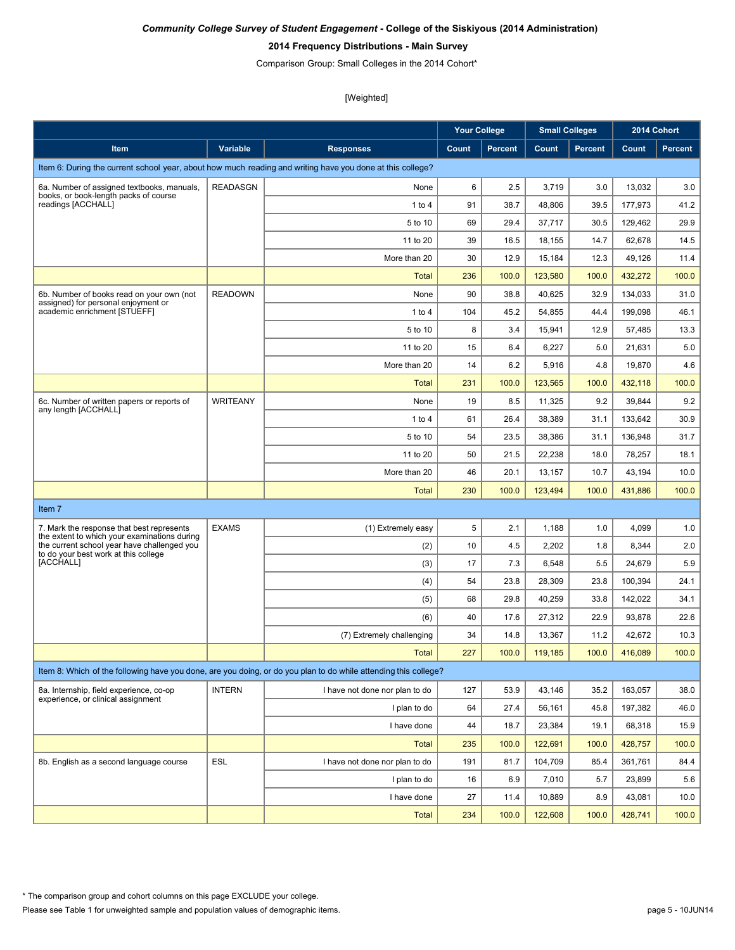### **2014 Frequency Distributions - Main Survey**

Comparison Group: Small Colleges in the 2014 Cohort\*

|                                                                                           |                 |                                                                                                                 | <b>Your College</b> |                |         | <b>Small Colleges</b> |         | 2014 Cohort    |
|-------------------------------------------------------------------------------------------|-----------------|-----------------------------------------------------------------------------------------------------------------|---------------------|----------------|---------|-----------------------|---------|----------------|
| Item                                                                                      | Variable        | <b>Responses</b>                                                                                                | Count               | <b>Percent</b> | Count   | <b>Percent</b>        | Count   | <b>Percent</b> |
|                                                                                           |                 | Item 6: During the current school year, about how much reading and writing have you done at this college?       |                     |                |         |                       |         |                |
| 6a. Number of assigned textbooks, manuals,                                                | <b>READASGN</b> | None                                                                                                            | 6                   | 2.5            | 3,719   | 3.0                   | 13,032  | 3.0            |
| books, or book-length packs of course<br>readings [ACCHALL]                               |                 | 1 to 4                                                                                                          | 91                  | 38.7           | 48,806  | 39.5                  | 177,973 | 41.2           |
|                                                                                           |                 | 5 to 10                                                                                                         | 69                  | 29.4           | 37,717  | 30.5                  | 129,462 | 29.9           |
|                                                                                           |                 | 11 to 20                                                                                                        | 39                  | 16.5           | 18,155  | 14.7                  | 62,678  | 14.5           |
|                                                                                           |                 | More than 20                                                                                                    | 30                  | 12.9           | 15,184  | 12.3                  | 49,126  | 11.4           |
|                                                                                           |                 | Total                                                                                                           | 236                 | 100.0          | 123,580 | 100.0                 | 432,272 | 100.0          |
| 6b. Number of books read on your own (not<br>assigned) for personal enjoyment or          | <b>READOWN</b>  | None                                                                                                            | 90                  | 38.8           | 40,625  | 32.9                  | 134,033 | 31.0           |
| academic enrichment [STUEFF]                                                              |                 | 1 to 4                                                                                                          | 104                 | 45.2           | 54,855  | 44.4                  | 199,098 | 46.1           |
|                                                                                           |                 | 5 to 10                                                                                                         | 8                   | 3.4            | 15,941  | 12.9                  | 57,485  | 13.3           |
|                                                                                           |                 | 11 to 20                                                                                                        | 15                  | 6.4            | 6,227   | 5.0                   | 21,631  | 5.0            |
|                                                                                           |                 | More than 20                                                                                                    | 14                  | 6.2            | 5,916   | 4.8                   | 19,870  | 4.6            |
|                                                                                           |                 | <b>Total</b>                                                                                                    | 231                 | 100.0          | 123,565 | 100.0                 | 432,118 | 100.0          |
| 6c. Number of written papers or reports of<br>any length [ACCHALL]                        | <b>WRITEANY</b> | None                                                                                                            | 19                  | 8.5            | 11,325  | 9.2                   | 39,844  | 9.2            |
|                                                                                           |                 | 1 to 4                                                                                                          | 61                  | 26.4           | 38,389  | 31.1                  | 133,642 | 30.9           |
|                                                                                           |                 | 5 to 10                                                                                                         | 54                  | 23.5           | 38,386  | 31.1                  | 136,948 | 31.7           |
|                                                                                           |                 | 11 to 20                                                                                                        | 50                  | 21.5           | 22,238  | 18.0                  | 78,257  | 18.1           |
|                                                                                           |                 | More than 20                                                                                                    | 46                  | 20.1           | 13,157  | 10.7                  | 43,194  | 10.0           |
|                                                                                           |                 | <b>Total</b>                                                                                                    | 230                 | 100.0          | 123,494 | 100.0                 | 431,886 | 100.0          |
| Item 7                                                                                    |                 |                                                                                                                 |                     |                |         |                       |         |                |
| 7. Mark the response that best represents<br>the extent to which your examinations during | <b>EXAMS</b>    | (1) Extremely easy                                                                                              | 5                   | 2.1            | 1,188   | 1.0                   | 4,099   | 1.0            |
| the current school year have challenged you<br>to do your best work at this college       |                 | (2)                                                                                                             | 10                  | 4.5            | 2,202   | 1.8                   | 8,344   | 2.0            |
| [ACCHALL]                                                                                 |                 | (3)                                                                                                             | 17                  | 7.3            | 6,548   | 5.5                   | 24,679  | 5.9            |
|                                                                                           |                 | (4)                                                                                                             | 54                  | 23.8           | 28,309  | 23.8                  | 100,394 | 24.1           |
|                                                                                           |                 | (5)                                                                                                             | 68                  | 29.8           | 40,259  | 33.8                  | 142,022 | 34.1           |
|                                                                                           |                 | (6)                                                                                                             | 40                  | 17.6           | 27,312  | 22.9                  | 93,878  | 22.6           |
|                                                                                           |                 | (7) Extremely challenging                                                                                       | 34                  | 14.8           | 13,367  | 11.2                  | 42,672  | 10.3           |
|                                                                                           |                 | Total                                                                                                           | 227                 | 100.0          | 119,185 | 100.0                 | 416,089 | 100.0          |
|                                                                                           |                 | Item 8: Which of the following have you done, are you doing, or do you plan to do while attending this college? |                     |                |         |                       |         |                |
| 8a. Internship, field experience, co-op                                                   | <b>INTERN</b>   | I have not done nor plan to do                                                                                  | 127                 | 53.9           | 43,146  | 35.2                  | 163,057 | 38.0           |
| experience, or clinical assignment                                                        |                 | I plan to do                                                                                                    | 64                  | 27.4           | 56,161  | 45.8                  | 197,382 | 46.0           |
|                                                                                           |                 | I have done                                                                                                     | 44                  | 18.7           | 23,384  | 19.1                  | 68,318  | 15.9           |
|                                                                                           |                 | <b>Total</b>                                                                                                    | 235                 | 100.0          | 122,691 | 100.0                 | 428,757 | 100.0          |
| 8b. English as a second language course                                                   | <b>ESL</b>      | I have not done nor plan to do                                                                                  | 191                 | 81.7           | 104,709 | 85.4                  | 361,761 | 84.4           |
|                                                                                           |                 | I plan to do                                                                                                    | 16                  | 6.9            | 7,010   | 5.7                   | 23,899  | 5.6            |
|                                                                                           |                 | I have done                                                                                                     | 27                  | 11.4           | 10,889  | 8.9                   | 43,081  | 10.0           |
|                                                                                           |                 | <b>Total</b>                                                                                                    | 234                 | 100.0          | 122,608 | 100.0                 | 428,741 | 100.0          |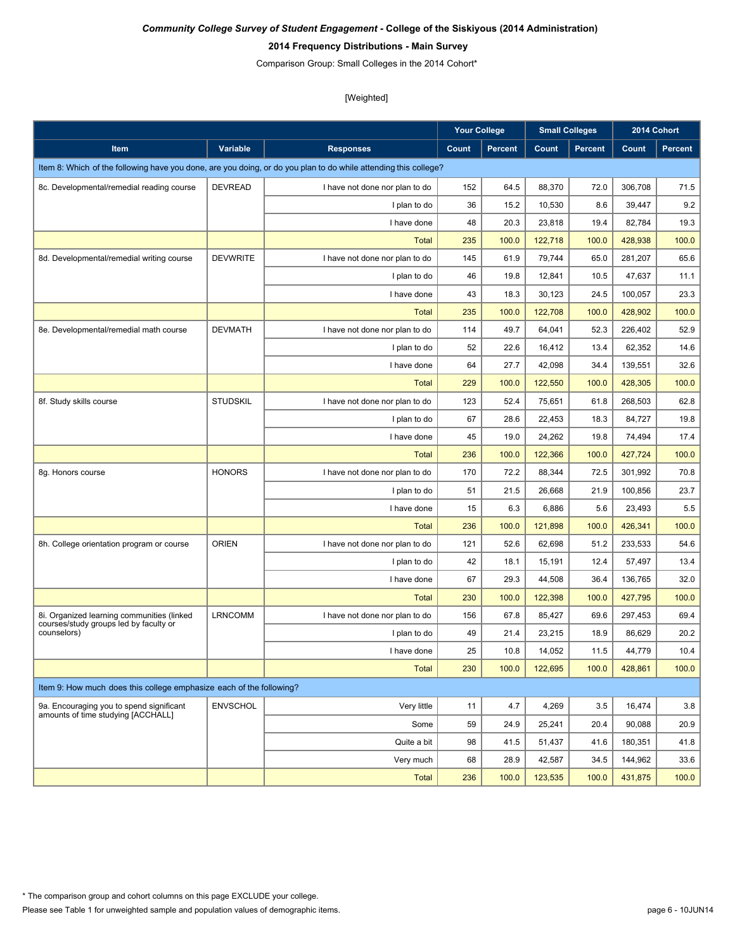### **2014 Frequency Distributions - Main Survey**

Comparison Group: Small Colleges in the 2014 Cohort\*

|                                                                                      |                 |                                                                                                                 | <b>Your College</b> |                |         | <b>Small Colleges</b> |         | 2014 Cohort    |
|--------------------------------------------------------------------------------------|-----------------|-----------------------------------------------------------------------------------------------------------------|---------------------|----------------|---------|-----------------------|---------|----------------|
| Item                                                                                 | Variable        | <b>Responses</b>                                                                                                | Count               | <b>Percent</b> | Count   | <b>Percent</b>        | Count   | <b>Percent</b> |
|                                                                                      |                 | Item 8: Which of the following have you done, are you doing, or do you plan to do while attending this college? |                     |                |         |                       |         |                |
| 8c. Developmental/remedial reading course                                            | <b>DEVREAD</b>  | I have not done nor plan to do                                                                                  | 152                 | 64.5           | 88,370  | 72.0                  | 306,708 | 71.5           |
|                                                                                      |                 | I plan to do                                                                                                    | 36                  | 15.2           | 10,530  | 8.6                   | 39,447  | 9.2            |
|                                                                                      |                 | I have done                                                                                                     | 48                  | 20.3           | 23,818  | 19.4                  | 82,784  | 19.3           |
|                                                                                      |                 | <b>Total</b>                                                                                                    | 235                 | 100.0          | 122,718 | 100.0                 | 428,938 | 100.0          |
| 8d. Developmental/remedial writing course                                            | <b>DEVWRITE</b> | I have not done nor plan to do                                                                                  | 145                 | 61.9           | 79,744  | 65.0                  | 281,207 | 65.6           |
|                                                                                      |                 | I plan to do                                                                                                    | 46                  | 19.8           | 12,841  | 10.5                  | 47,637  | 11.1           |
|                                                                                      |                 | I have done                                                                                                     | 43                  | 18.3           | 30,123  | 24.5                  | 100,057 | 23.3           |
|                                                                                      |                 | <b>Total</b>                                                                                                    | 235                 | 100.0          | 122,708 | 100.0                 | 428,902 | 100.0          |
| 8e. Developmental/remedial math course                                               | <b>DEVMATH</b>  | I have not done nor plan to do                                                                                  | 114                 | 49.7           | 64,041  | 52.3                  | 226,402 | 52.9           |
|                                                                                      |                 | I plan to do                                                                                                    | 52                  | 22.6           | 16,412  | 13.4                  | 62,352  | 14.6           |
|                                                                                      |                 | I have done                                                                                                     | 64                  | 27.7           | 42,098  | 34.4                  | 139,551 | 32.6           |
|                                                                                      |                 | <b>Total</b>                                                                                                    | 229                 | 100.0          | 122,550 | 100.0                 | 428,305 | 100.0          |
| 8f. Study skills course                                                              | <b>STUDSKIL</b> | I have not done nor plan to do                                                                                  | 123                 | 52.4           | 75,651  | 61.8                  | 268,503 | 62.8           |
|                                                                                      |                 | I plan to do                                                                                                    | 67                  | 28.6           | 22,453  | 18.3                  | 84,727  | 19.8           |
|                                                                                      |                 | I have done                                                                                                     | 45                  | 19.0           | 24,262  | 19.8                  | 74,494  | 17.4           |
|                                                                                      |                 | <b>Total</b>                                                                                                    | 236                 | 100.0          | 122,366 | 100.0                 | 427,724 | 100.0          |
| 8g. Honors course                                                                    | <b>HONORS</b>   | I have not done nor plan to do                                                                                  | 170                 | 72.2           | 88,344  | 72.5                  | 301,992 | 70.8           |
|                                                                                      |                 | I plan to do                                                                                                    | 51                  | 21.5           | 26,668  | 21.9                  | 100,856 | 23.7           |
|                                                                                      |                 | I have done                                                                                                     | 15                  | 6.3            | 6,886   | 5.6                   | 23,493  | 5.5            |
|                                                                                      |                 | <b>Total</b>                                                                                                    | 236                 | 100.0          | 121,898 | 100.0                 | 426,341 | 100.0          |
| 8h. College orientation program or course                                            | <b>ORIEN</b>    | I have not done nor plan to do                                                                                  | 121                 | 52.6           | 62,698  | 51.2                  | 233,533 | 54.6           |
|                                                                                      |                 | I plan to do                                                                                                    | 42                  | 18.1           | 15,191  | 12.4                  | 57,497  | 13.4           |
|                                                                                      |                 | I have done                                                                                                     | 67                  | 29.3           | 44,508  | 36.4                  | 136,765 | 32.0           |
|                                                                                      |                 | <b>Total</b>                                                                                                    | 230                 | 100.0          | 122,398 | 100.0                 | 427,795 | 100.0          |
| 8i. Organized learning communities (linked<br>courses/study groups led by faculty or | <b>LRNCOMM</b>  | I have not done nor plan to do                                                                                  | 156                 | 67.8           | 85.427  | 69.6                  | 297,453 | 69.4           |
| counselors)                                                                          |                 | I plan to do                                                                                                    | 49                  | 21.4           | 23,215  | 18.9                  | 86,629  | 20.2           |
|                                                                                      |                 | I have done                                                                                                     | 25                  | 10.8           | 14,052  | 11.5                  | 44,779  | 10.4           |
|                                                                                      |                 | <b>Total</b>                                                                                                    | 230                 | 100.0          | 122,695 | 100.0                 | 428,861 | 100.0          |
| Item 9: How much does this college emphasize each of the following?                  |                 |                                                                                                                 |                     |                |         |                       |         |                |
| 9a. Encouraging you to spend significant                                             | <b>ENVSCHOL</b> | Very little                                                                                                     | 11                  | 4.7            | 4,269   | 3.5                   | 16,474  | 3.8            |
| amounts of time studying [ACCHALL]                                                   |                 | Some                                                                                                            | 59                  | 24.9           | 25,241  | 20.4                  | 90,088  | 20.9           |
|                                                                                      |                 | Quite a bit                                                                                                     | 98                  | 41.5           | 51,437  | 41.6                  | 180,351 | 41.8           |
|                                                                                      |                 | Very much                                                                                                       | 68                  | 28.9           | 42,587  | 34.5                  | 144,962 | 33.6           |
|                                                                                      |                 | <b>Total</b>                                                                                                    | 236                 | 100.0          | 123,535 | 100.0                 | 431,875 | 100.0          |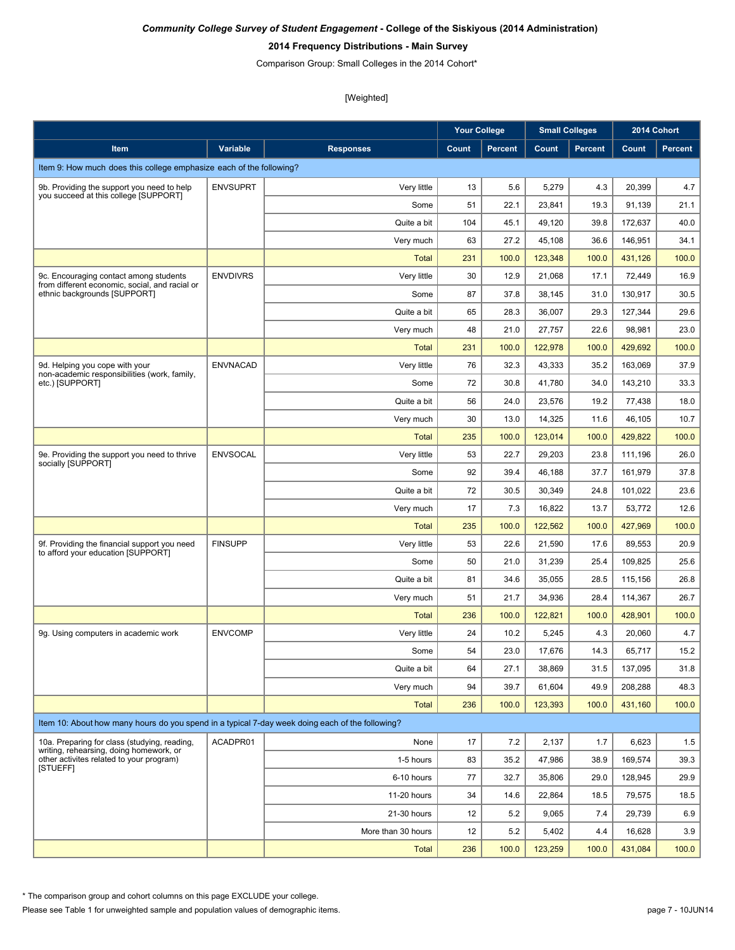#### **2014 Frequency Distributions - Main Survey**

Comparison Group: Small Colleges in the 2014 Cohort\*

[Weighted]

|                                                                                                 |                 |                    | <b>Your College</b> |                |         | <b>Small Colleges</b> |         | 2014 Cohort |
|-------------------------------------------------------------------------------------------------|-----------------|--------------------|---------------------|----------------|---------|-----------------------|---------|-------------|
| Item                                                                                            | <b>Variable</b> | <b>Responses</b>   | Count               | <b>Percent</b> | Count   | <b>Percent</b>        | Count   | Percent     |
| Item 9: How much does this college emphasize each of the following?                             |                 |                    |                     |                |         |                       |         |             |
| 9b. Providing the support you need to help                                                      | <b>ENVSUPRT</b> | Very little        | 13                  | 5.6            | 5,279   | 4.3                   | 20,399  | 4.7         |
| you succeed at this college [SUPPORT]                                                           |                 | Some               | 51                  | 22.1           | 23,841  | 19.3                  | 91,139  | 21.1        |
|                                                                                                 |                 | Quite a bit        | 104                 | 45.1           | 49,120  | 39.8                  | 172,637 | 40.0        |
|                                                                                                 |                 | Very much          | 63                  | 27.2           | 45,108  | 36.6                  | 146,951 | 34.1        |
|                                                                                                 |                 | Total              | 231                 | 100.0          | 123,348 | 100.0                 | 431,126 | 100.0       |
| 9c. Encouraging contact among students<br>from different economic, social, and racial or        | <b>ENVDIVRS</b> | Very little        | 30                  | 12.9           | 21,068  | 17.1                  | 72,449  | 16.9        |
| ethnic backgrounds [SUPPORT]                                                                    |                 | Some               | 87                  | 37.8           | 38,145  | 31.0                  | 130,917 | 30.5        |
|                                                                                                 |                 | Quite a bit        | 65                  | 28.3           | 36,007  | 29.3                  | 127,344 | 29.6        |
|                                                                                                 |                 | Very much          | 48                  | 21.0           | 27,757  | 22.6                  | 98,981  | 23.0        |
|                                                                                                 |                 | <b>Total</b>       | 231                 | 100.0          | 122,978 | 100.0                 | 429,692 | 100.0       |
| 9d. Helping you cope with your<br>non-academic responsibilities (work, family,                  | <b>ENVNACAD</b> | Very little        | 76                  | 32.3           | 43,333  | 35.2                  | 163.069 | 37.9        |
| etc.) [SUPPORT]                                                                                 |                 | Some               | 72                  | 30.8           | 41,780  | 34.0                  | 143,210 | 33.3        |
|                                                                                                 |                 | Quite a bit        | 56                  | 24.0           | 23,576  | 19.2                  | 77.438  | 18.0        |
|                                                                                                 |                 | Very much          | 30                  | 13.0           | 14,325  | 11.6                  | 46,105  | 10.7        |
|                                                                                                 |                 | <b>Total</b>       | 235                 | 100.0          | 123,014 | 100.0                 | 429,822 | 100.0       |
| 9e. Providing the support you need to thrive<br>socially [SUPPORT]                              | <b>ENVSOCAL</b> | Very little        | 53                  | 22.7           | 29,203  | 23.8                  | 111,196 | 26.0        |
|                                                                                                 |                 | Some               | 92                  | 39.4           | 46,188  | 37.7                  | 161,979 | 37.8        |
|                                                                                                 |                 | Quite a bit        | 72                  | 30.5           | 30,349  | 24.8                  | 101,022 | 23.6        |
|                                                                                                 |                 | Very much          | 17                  | 7.3            | 16,822  | 13.7                  | 53,772  | 12.6        |
|                                                                                                 |                 | <b>Total</b>       | 235                 | 100.0          | 122,562 | 100.0                 | 427,969 | 100.0       |
| 9f. Providing the financial support you need<br>to afford your education [SUPPORT]              | <b>FINSUPP</b>  | Very little        | 53                  | 22.6           | 21,590  | 17.6                  | 89,553  | 20.9        |
|                                                                                                 |                 | Some               | 50                  | 21.0           | 31,239  | 25.4                  | 109,825 | 25.6        |
|                                                                                                 |                 | Quite a bit        | 81                  | 34.6           | 35,055  | 28.5                  | 115,156 | 26.8        |
|                                                                                                 |                 | Very much          | 51                  | 21.7           | 34,936  | 28.4                  | 114,367 | 26.7        |
|                                                                                                 |                 | <b>Total</b>       | 236                 | 100.0          | 122,821 | 100.0                 | 428,901 | 100.0       |
| 9g. Using computers in academic work                                                            | <b>ENVCOMP</b>  | Very little        | 24                  | 10.2           | 5,245   | 4.3                   | 20,060  | 4.7         |
|                                                                                                 |                 | Some               | 54                  | 23.0           | 17,676  | 14.3                  | 65,717  | 15.2        |
|                                                                                                 |                 | Quite a bit        | 64                  | 27.1           | 38,869  | 31.5                  | 137,095 | 31.8        |
|                                                                                                 |                 | Very much          | 94                  | 39.7           | 61,604  | 49.9                  | 208,288 | 48.3        |
|                                                                                                 |                 | <b>Total</b>       | 236                 | 100.0          | 123,393 | 100.0                 | 431,160 | 100.0       |
| Item 10: About how many hours do you spend in a typical 7-day week doing each of the following? |                 |                    |                     |                |         |                       |         |             |
| 10a. Preparing for class (studying, reading,<br>writing, rehearsing, doing homework, or         | ACADPR01        | None               | 17                  | 7.2            | 2,137   | 1.7                   | 6,623   | 1.5         |
| other activites related to your program)<br>[STUEFF]                                            |                 | 1-5 hours          | 83                  | 35.2           | 47,986  | 38.9                  | 169,574 | 39.3        |
|                                                                                                 |                 | 6-10 hours         | 77                  | 32.7           | 35,806  | 29.0                  | 128,945 | 29.9        |
|                                                                                                 |                 | 11-20 hours        | 34                  | 14.6           | 22,864  | 18.5                  | 79,575  | 18.5        |
|                                                                                                 |                 | 21-30 hours        | 12                  | 5.2            | 9,065   | 7.4                   | 29,739  | 6.9         |
|                                                                                                 |                 | More than 30 hours | 12                  | 5.2            | 5,402   | 4.4                   | 16,628  | 3.9         |
|                                                                                                 |                 | <b>Total</b>       | 236                 | 100.0          | 123,259 | 100.0                 | 431,084 | 100.0       |

\* The comparison group and cohort columns on this page EXCLUDE your college.

Please see Table 1 for unweighted sample and population values of demographic items. page 7 - 10JUN14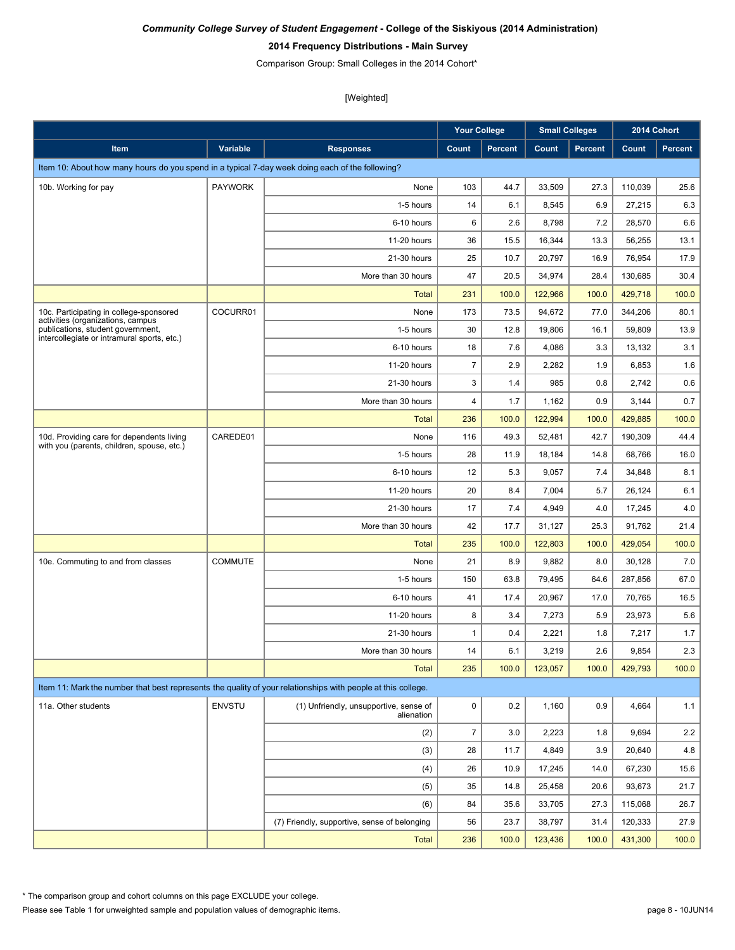### **2014 Frequency Distributions - Main Survey**

Comparison Group: Small Colleges in the 2014 Cohort\*

[Weighted]

|                                                                                                                       |                |                                                      | <b>Your College</b> |                |         | <b>Small Colleges</b> |         | 2014 Cohort    |
|-----------------------------------------------------------------------------------------------------------------------|----------------|------------------------------------------------------|---------------------|----------------|---------|-----------------------|---------|----------------|
| <b>Item</b>                                                                                                           | Variable       | <b>Responses</b>                                     | Count               | <b>Percent</b> | Count   | <b>Percent</b>        | Count   | <b>Percent</b> |
| Item 10: About how many hours do you spend in a typical 7-day week doing each of the following?                       |                |                                                      |                     |                |         |                       |         |                |
| 10b. Working for pay                                                                                                  | <b>PAYWORK</b> | None                                                 | 103                 | 44.7           | 33,509  | 27.3                  | 110,039 | 25.6           |
|                                                                                                                       |                | 1-5 hours                                            | 14                  | 6.1            | 8,545   | 6.9                   | 27.215  | 6.3            |
|                                                                                                                       |                | 6-10 hours                                           | 6                   | 2.6            | 8,798   | 7.2                   | 28,570  | 6.6            |
|                                                                                                                       |                | 11-20 hours                                          | 36                  | 15.5           | 16,344  | 13.3                  | 56,255  | 13.1           |
|                                                                                                                       |                | 21-30 hours                                          | 25                  | 10.7           | 20,797  | 16.9                  | 76,954  | 17.9           |
|                                                                                                                       |                | More than 30 hours                                   | 47                  | 20.5           | 34,974  | 28.4                  | 130,685 | 30.4           |
|                                                                                                                       |                | <b>Total</b>                                         | 231                 | 100.0          | 122,966 | 100.0                 | 429,718 | 100.0          |
| 10c. Participating in college-sponsored                                                                               | COCURR01       | None                                                 | 173                 | 73.5           | 94,672  | 77.0                  | 344,206 | 80.1           |
| activities (organizations, campus<br>publications, student government,<br>intercollegiate or intramural sports, etc.) |                | 1-5 hours                                            | 30                  | 12.8           | 19,806  | 16.1                  | 59,809  | 13.9           |
|                                                                                                                       |                | 6-10 hours                                           | 18                  | 7.6            | 4,086   | 3.3                   | 13,132  | 3.1            |
|                                                                                                                       |                | 11-20 hours                                          | $\overline{7}$      | 2.9            | 2,282   | 1.9                   | 6,853   | 1.6            |
|                                                                                                                       |                | 21-30 hours                                          | 3                   | 1.4            | 985     | 0.8                   | 2,742   | 0.6            |
|                                                                                                                       |                | More than 30 hours                                   | 4                   | 1.7            | 1,162   | 0.9                   | 3,144   | 0.7            |
|                                                                                                                       |                | <b>Total</b>                                         | 236                 | 100.0          | 122,994 | 100.0                 | 429,885 | 100.0          |
| 10d. Providing care for dependents living<br>with you (parents, children, spouse, etc.)                               | CAREDE01       | None                                                 | 116                 | 49.3           | 52,481  | 42.7                  | 190,309 | 44.4           |
|                                                                                                                       |                | 1-5 hours                                            | 28                  | 11.9           | 18,184  | 14.8                  | 68.766  | 16.0           |
|                                                                                                                       |                | 6-10 hours                                           | 12                  | 5.3            | 9,057   | 7.4                   | 34,848  | 8.1            |
|                                                                                                                       |                | 11-20 hours                                          | 20                  | 8.4            | 7,004   | 5.7                   | 26,124  | 6.1            |
|                                                                                                                       |                | 21-30 hours                                          | 17                  | 7.4            | 4,949   | 4.0                   | 17,245  | 4.0            |
|                                                                                                                       |                | More than 30 hours                                   | 42                  | 17.7           | 31,127  | 25.3                  | 91,762  | 21.4           |
|                                                                                                                       |                | <b>Total</b>                                         | 235                 | 100.0          | 122,803 | 100.0                 | 429,054 | 100.0          |
| 10e. Commuting to and from classes                                                                                    | <b>COMMUTE</b> | None                                                 | 21                  | 8.9            | 9,882   | 8.0                   | 30,128  | 7.0            |
|                                                                                                                       |                | 1-5 hours                                            | 150                 | 63.8           | 79,495  | 64.6                  | 287,856 | 67.0           |
|                                                                                                                       |                | 6-10 hours                                           | 41                  | 17.4           | 20,967  | 17.0                  | 70,765  | 16.5           |
|                                                                                                                       |                | 11-20 hours                                          | 8                   | 3.4            | 7,273   | 5.9                   | 23.973  | 5.6            |
|                                                                                                                       |                | 21-30 hours                                          | $\mathbf{1}$        | 0.4            | 2,221   | 1.8                   | 7,217   | 1.7            |
|                                                                                                                       |                | More than 30 hours                                   | 14                  | 6.1            | 3,219   | 2.6                   | 9,854   | 2.3            |
|                                                                                                                       |                | <b>Total</b>                                         | 235                 | 100.0          | 123,057 | 100.0                 | 429,793 | 100.0          |
| Item 11: Mark the number that best represents the quality of your relationships with people at this college.          |                |                                                      |                     |                |         |                       |         |                |
| 11a. Other students                                                                                                   | <b>ENVSTU</b>  | (1) Unfriendly, unsupportive, sense of<br>alienation | $\pmb{0}$           | 0.2            | 1,160   | 0.9                   | 4,664   | 1.1            |
|                                                                                                                       |                | (2)                                                  | $\overline{7}$      | 3.0            | 2,223   | 1.8                   | 9,694   | $2.2\,$        |
|                                                                                                                       |                | (3)                                                  | 28                  | 11.7           | 4,849   | 3.9                   | 20,640  | $4.8\,$        |
|                                                                                                                       |                | (4)                                                  | 26                  | 10.9           | 17,245  | 14.0                  | 67,230  | 15.6           |
|                                                                                                                       |                | (5)                                                  | 35                  | 14.8           | 25,458  | 20.6                  | 93,673  | 21.7           |
|                                                                                                                       |                | (6)                                                  | 84                  | 35.6           | 33,705  | 27.3                  | 115,068 | 26.7           |
|                                                                                                                       |                | (7) Friendly, supportive, sense of belonging         | 56                  | 23.7           | 38,797  | 31.4                  | 120,333 | 27.9           |
|                                                                                                                       |                | <b>Total</b>                                         | 236                 | 100.0          | 123,436 | 100.0                 | 431,300 | 100.0          |

Please see Table 1 for unweighted sample and population values of demographic items. \* The comparison group and cohort columns on this page EXCLUDE your college.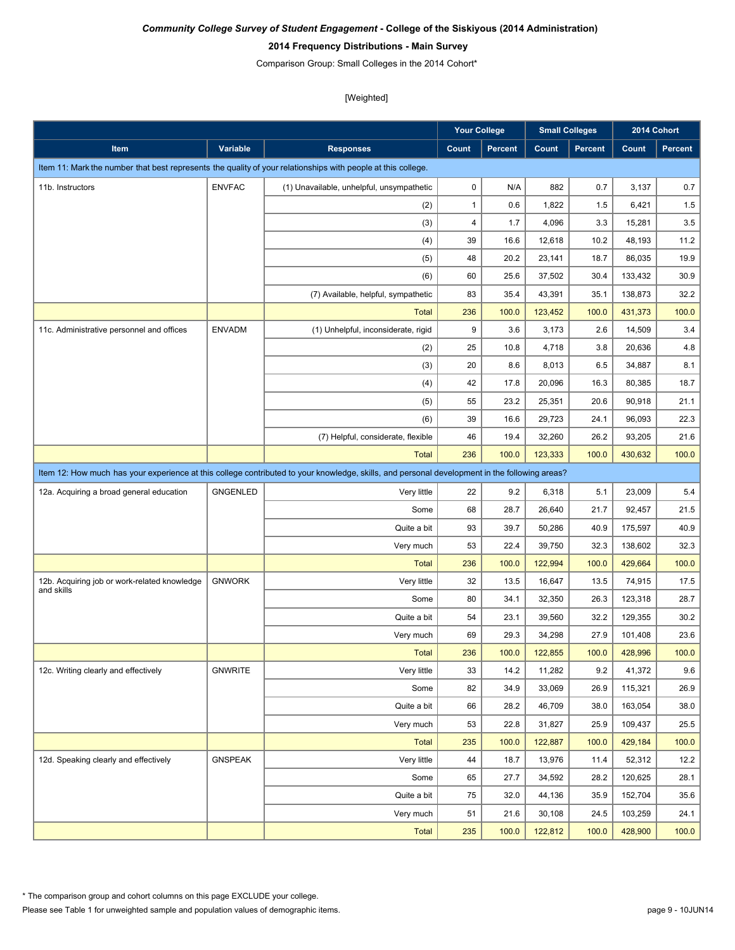#### **2014 Frequency Distributions - Main Survey**

Comparison Group: Small Colleges in the 2014 Cohort\*

|                                                                                                                                               |                 |                                           | <b>Your College</b> |         | <b>Small Colleges</b> |         |         | 2014 Cohort    |  |
|-----------------------------------------------------------------------------------------------------------------------------------------------|-----------------|-------------------------------------------|---------------------|---------|-----------------------|---------|---------|----------------|--|
| Item                                                                                                                                          | <b>Variable</b> | <b>Responses</b>                          | Count               | Percent | Count                 | Percent | Count   | <b>Percent</b> |  |
| Item 11: Mark the number that best represents the quality of your relationships with people at this college.                                  |                 |                                           |                     |         |                       |         |         |                |  |
| 11b. Instructors                                                                                                                              | <b>ENVFAC</b>   | (1) Unavailable, unhelpful, unsympathetic | $\pmb{0}$           | N/A     | 882                   | 0.7     | 3,137   | 0.7            |  |
|                                                                                                                                               |                 | (2)                                       | $\mathbf{1}$        | 0.6     | 1,822                 | 1.5     | 6,421   | 1.5            |  |
|                                                                                                                                               |                 | (3)                                       | 4                   | 1.7     | 4,096                 | 3.3     | 15,281  | 3.5            |  |
|                                                                                                                                               |                 | (4)                                       | 39                  | 16.6    | 12,618                | 10.2    | 48,193  | 11.2           |  |
|                                                                                                                                               |                 | (5)                                       | 48                  | 20.2    | 23,141                | 18.7    | 86,035  | 19.9           |  |
|                                                                                                                                               |                 | (6)                                       | 60                  | 25.6    | 37,502                | 30.4    | 133,432 | 30.9           |  |
|                                                                                                                                               |                 | (7) Available, helpful, sympathetic       | 83                  | 35.4    | 43,391                | 35.1    | 138,873 | 32.2           |  |
|                                                                                                                                               |                 | <b>Total</b>                              | 236                 | 100.0   | 123,452               | 100.0   | 431,373 | 100.0          |  |
| 11c. Administrative personnel and offices                                                                                                     | <b>ENVADM</b>   | (1) Unhelpful, inconsiderate, rigid       | 9                   | 3.6     | 3,173                 | 2.6     | 14,509  | 3.4            |  |
|                                                                                                                                               |                 | (2)                                       | 25                  | 10.8    | 4,718                 | 3.8     | 20,636  | 4.8            |  |
|                                                                                                                                               |                 | (3)                                       | 20                  | 8.6     | 8,013                 | 6.5     | 34,887  | 8.1            |  |
|                                                                                                                                               |                 | (4)                                       | 42                  | 17.8    | 20,096                | 16.3    | 80,385  | 18.7           |  |
|                                                                                                                                               |                 | (5)                                       | 55                  | 23.2    | 25,351                | 20.6    | 90,918  | 21.1           |  |
|                                                                                                                                               |                 | (6)                                       | 39                  | 16.6    | 29,723                | 24.1    | 96,093  | 22.3           |  |
|                                                                                                                                               |                 | (7) Helpful, considerate, flexible        | 46                  | 19.4    | 32,260                | 26.2    | 93,205  | 21.6           |  |
|                                                                                                                                               |                 | <b>Total</b>                              | 236                 | 100.0   | 123,333               | 100.0   | 430,632 | 100.0          |  |
| Item 12: How much has your experience at this college contributed to your knowledge, skills, and personal development in the following areas? |                 |                                           |                     |         |                       |         |         |                |  |
| 12a. Acquiring a broad general education                                                                                                      | <b>GNGENLED</b> | Very little                               | 22                  | 9.2     | 6,318                 | 5.1     | 23,009  | 5.4            |  |
|                                                                                                                                               |                 | Some                                      | 68                  | 28.7    | 26,640                | 21.7    | 92,457  | 21.5           |  |
|                                                                                                                                               |                 | Quite a bit                               | 93                  | 39.7    | 50,286                | 40.9    | 175,597 | 40.9           |  |
|                                                                                                                                               |                 | Very much                                 | 53                  | 22.4    | 39,750                | 32.3    | 138,602 | 32.3           |  |
|                                                                                                                                               |                 | <b>Total</b>                              | 236                 | 100.0   | 122,994               | 100.0   | 429,664 | 100.0          |  |
| 12b. Acquiring job or work-related knowledge                                                                                                  | <b>GNWORK</b>   | Very little                               | 32                  | 13.5    | 16,647                | 13.5    | 74,915  | 17.5           |  |
| and skills                                                                                                                                    |                 | Some                                      | 80                  | 34.1    | 32,350                | 26.3    | 123,318 | 28.7           |  |
|                                                                                                                                               |                 | Quite a bit                               | 54                  | 23.1    | 39,560                | 32.2    | 129,355 | 30.2           |  |
|                                                                                                                                               |                 | Very much                                 | 69                  | 29.3    | 34,298                | 27.9    | 101,408 | 23.6           |  |
|                                                                                                                                               |                 | <b>Total</b>                              | 236                 | 100.0   | 122,855               | 100.0   | 428,996 | 100.0          |  |
| 12c. Writing clearly and effectively                                                                                                          | GNWRITE         | Very little                               | 33                  | 14.2    | 11,282                | 9.2     | 41,372  | 9.6            |  |
|                                                                                                                                               |                 | Some                                      | 82                  | 34.9    | 33,069                | 26.9    | 115,321 | 26.9           |  |
|                                                                                                                                               |                 | Quite a bit                               | 66                  | 28.2    | 46,709                | 38.0    | 163,054 | 38.0           |  |
|                                                                                                                                               |                 | Very much                                 | 53                  | 22.8    | 31,827                | 25.9    | 109,437 | 25.5           |  |
|                                                                                                                                               |                 | <b>Total</b>                              | 235                 | 100.0   | 122,887               | 100.0   | 429,184 | 100.0          |  |
| 12d. Speaking clearly and effectively                                                                                                         | <b>GNSPEAK</b>  | Very little                               | 44                  | 18.7    | 13,976                | 11.4    | 52,312  | 12.2           |  |
|                                                                                                                                               |                 | Some                                      | 65                  | 27.7    | 34,592                | 28.2    | 120,625 | 28.1           |  |
|                                                                                                                                               |                 | Quite a bit                               | 75                  | 32.0    | 44,136                | 35.9    | 152,704 | 35.6           |  |
|                                                                                                                                               |                 | Very much                                 | 51                  | 21.6    | 30,108                | 24.5    | 103,259 | 24.1           |  |
|                                                                                                                                               |                 | <b>Total</b>                              | 235                 | 100.0   | 122,812               | 100.0   | 428,900 | 100.0          |  |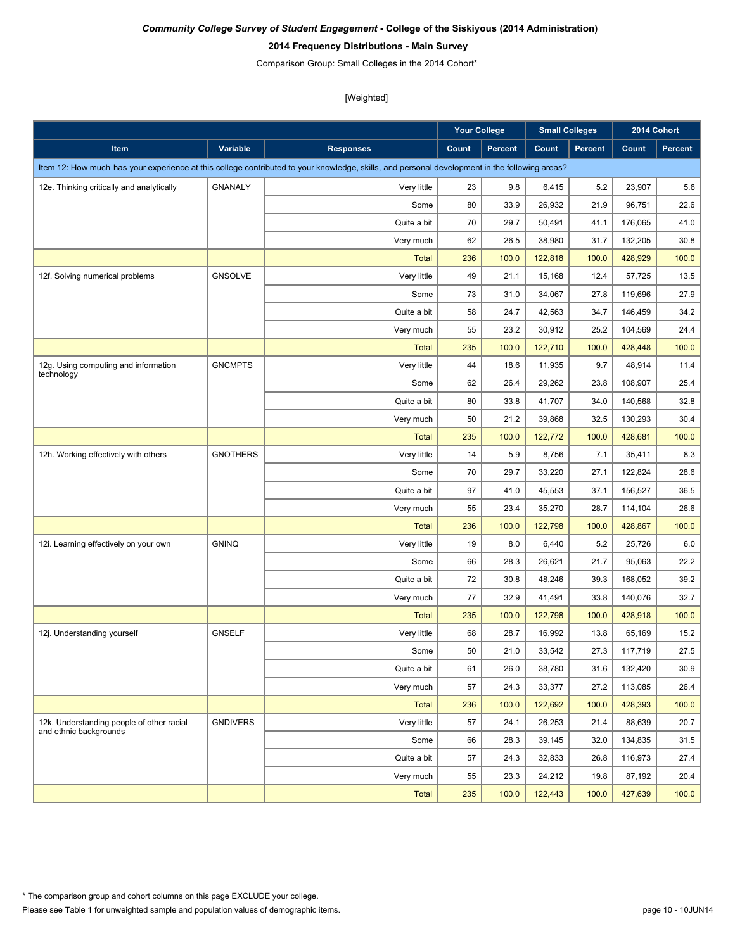### **2014 Frequency Distributions - Main Survey**

Comparison Group: Small Colleges in the 2014 Cohort\*

|                                                                     |                 |                                                                                                                                               | <b>Your College</b> |                | <b>Small Colleges</b> |                |         | 2014 Cohort |
|---------------------------------------------------------------------|-----------------|-----------------------------------------------------------------------------------------------------------------------------------------------|---------------------|----------------|-----------------------|----------------|---------|-------------|
| Item                                                                | Variable        | <b>Responses</b>                                                                                                                              | Count               | <b>Percent</b> | Count                 | <b>Percent</b> | Count   | Percent     |
|                                                                     |                 | Item 12: How much has your experience at this college contributed to your knowledge, skills, and personal development in the following areas? |                     |                |                       |                |         |             |
| 12e. Thinking critically and analytically                           | <b>GNANALY</b>  | Very little                                                                                                                                   | 23                  | 9.8            | 6,415                 | 5.2            | 23,907  | 5.6         |
|                                                                     |                 | Some                                                                                                                                          | 80                  | 33.9           | 26,932                | 21.9           | 96,751  | 22.6        |
|                                                                     |                 | Quite a bit                                                                                                                                   | 70                  | 29.7           | 50,491                | 41.1           | 176,065 | 41.0        |
|                                                                     |                 | Very much                                                                                                                                     | 62                  | 26.5           | 38,980                | 31.7           | 132,205 | 30.8        |
|                                                                     |                 | <b>Total</b>                                                                                                                                  | 236                 | 100.0          | 122,818               | 100.0          | 428,929 | 100.0       |
| 12f. Solving numerical problems                                     | <b>GNSOLVE</b>  | Very little                                                                                                                                   | 49                  | 21.1           | 15,168                | 12.4           | 57,725  | 13.5        |
|                                                                     |                 | Some                                                                                                                                          | 73                  | 31.0           | 34,067                | 27.8           | 119,696 | 27.9        |
|                                                                     |                 | Quite a bit                                                                                                                                   | 58                  | 24.7           | 42,563                | 34.7           | 146,459 | 34.2        |
|                                                                     |                 | Very much                                                                                                                                     | 55                  | 23.2           | 30,912                | 25.2           | 104,569 | 24.4        |
|                                                                     |                 | <b>Total</b>                                                                                                                                  | 235                 | 100.0          | 122,710               | 100.0          | 428,448 | 100.0       |
| 12g. Using computing and information<br>technology                  | <b>GNCMPTS</b>  | Very little                                                                                                                                   | 44                  | 18.6           | 11,935                | 9.7            | 48,914  | 11.4        |
|                                                                     |                 | Some                                                                                                                                          | 62                  | 26.4           | 29,262                | 23.8           | 108,907 | 25.4        |
|                                                                     |                 | Quite a bit                                                                                                                                   | 80                  | 33.8           | 41,707                | 34.0           | 140,568 | 32.8        |
|                                                                     |                 | Very much                                                                                                                                     | 50                  | 21.2           | 39,868                | 32.5           | 130,293 | 30.4        |
|                                                                     |                 | <b>Total</b>                                                                                                                                  | 235                 | 100.0          | 122,772               | 100.0          | 428,681 | 100.0       |
| 12h. Working effectively with others                                | <b>GNOTHERS</b> | Very little                                                                                                                                   | 14                  | 5.9            | 8,756                 | 7.1            | 35,411  | 8.3         |
|                                                                     |                 | Some                                                                                                                                          | 70                  | 29.7           | 33,220                | 27.1           | 122,824 | 28.6        |
|                                                                     |                 | Quite a bit                                                                                                                                   | 97                  | 41.0           | 45,553                | 37.1           | 156,527 | 36.5        |
|                                                                     |                 | Very much                                                                                                                                     | 55                  | 23.4           | 35,270                | 28.7           | 114,104 | 26.6        |
|                                                                     |                 | <b>Total</b>                                                                                                                                  | 236                 | 100.0          | 122,798               | 100.0          | 428,867 | 100.0       |
| 12i. Learning effectively on your own                               | <b>GNINQ</b>    | Very little                                                                                                                                   | 19                  | 8.0            | 6,440                 | 5.2            | 25,726  | 6.0         |
|                                                                     |                 | Some                                                                                                                                          | 66                  | 28.3           | 26,621                | 21.7           | 95,063  | 22.2        |
|                                                                     |                 | Quite a bit                                                                                                                                   | 72                  | 30.8           | 48,246                | 39.3           | 168,052 | 39.2        |
|                                                                     |                 | Very much                                                                                                                                     | 77                  | 32.9           | 41,491                | 33.8           | 140,076 | 32.7        |
|                                                                     |                 | <b>Total</b>                                                                                                                                  | 235                 | 100.0          | 122,798               | 100.0          | 428,918 | 100.0       |
| 12j. Understanding yourself                                         | <b>GNSELF</b>   | Very little                                                                                                                                   | 68                  | 28.7           | 16,992                | 13.8           | 65,169  | 15.2        |
|                                                                     |                 | Some                                                                                                                                          | 50                  | 21.0           | 33,542                | 27.3           | 117,719 | 27.5        |
|                                                                     |                 | Quite a bit                                                                                                                                   | 61                  | 26.0           | 38,780                | 31.6           | 132,420 | 30.9        |
|                                                                     |                 | Very much                                                                                                                                     | 57                  | 24.3           | 33,377                | 27.2           | 113,085 | 26.4        |
|                                                                     |                 | <b>Total</b>                                                                                                                                  | 236                 | 100.0          | 122,692               | 100.0          | 428,393 | 100.0       |
| 12k. Understanding people of other racial<br>and ethnic backgrounds | <b>GNDIVERS</b> | Very little                                                                                                                                   | 57                  | 24.1           | 26,253                | 21.4           | 88,639  | 20.7        |
|                                                                     |                 | Some                                                                                                                                          | 66                  | 28.3           | 39,145                | 32.0           | 134,835 | 31.5        |
|                                                                     |                 | Quite a bit                                                                                                                                   | 57                  | 24.3           | 32,833                | 26.8           | 116,973 | 27.4        |
|                                                                     |                 | Very much                                                                                                                                     | 55                  | 23.3           | 24,212                | 19.8           | 87,192  | 20.4        |
|                                                                     |                 | <b>Total</b>                                                                                                                                  | 235                 | 100.0          | 122,443               | 100.0          | 427,639 | 100.0       |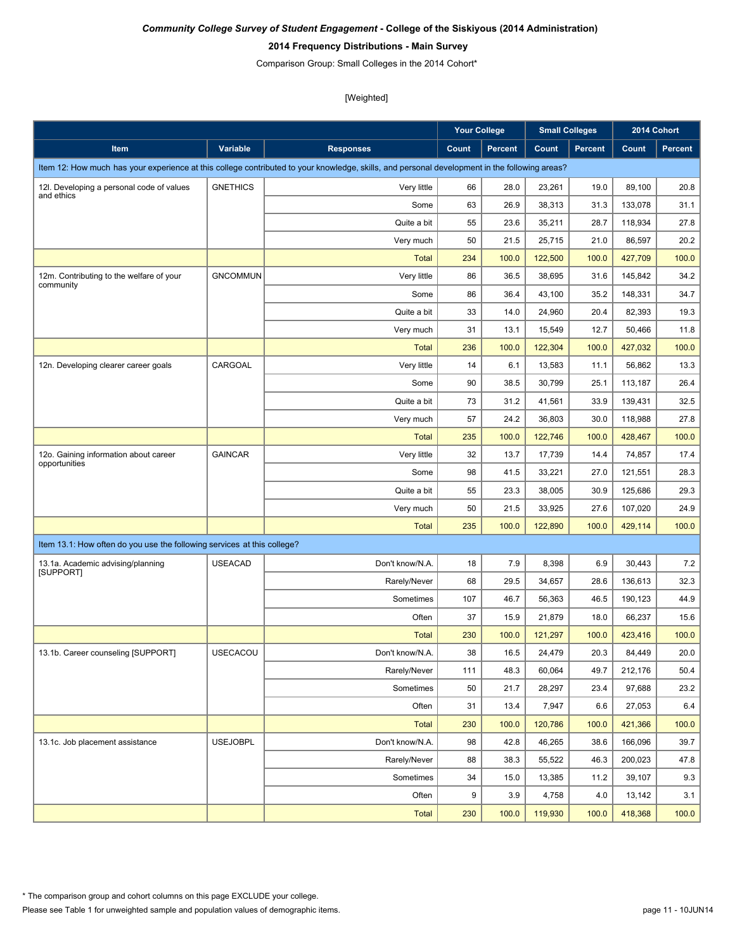### **2014 Frequency Distributions - Main Survey**

Comparison Group: Small Colleges in the 2014 Cohort\*

|                                                                         |                 |                                                                                                                                               | <b>Your College</b> |                |         | <b>Small Colleges</b> |         | 2014 Cohort |
|-------------------------------------------------------------------------|-----------------|-----------------------------------------------------------------------------------------------------------------------------------------------|---------------------|----------------|---------|-----------------------|---------|-------------|
| Item                                                                    | Variable        | <b>Responses</b>                                                                                                                              | Count               | <b>Percent</b> | Count   | <b>Percent</b>        | Count   | Percent     |
|                                                                         |                 | Item 12: How much has your experience at this college contributed to your knowledge, skills, and personal development in the following areas? |                     |                |         |                       |         |             |
| 12I. Developing a personal code of values                               | <b>GNETHICS</b> | Very little                                                                                                                                   | 66                  | 28.0           | 23,261  | 19.0                  | 89,100  | 20.8        |
| and ethics                                                              |                 | Some                                                                                                                                          | 63                  | 26.9           | 38,313  | 31.3                  | 133,078 | 31.1        |
|                                                                         |                 | Quite a bit                                                                                                                                   | 55                  | 23.6           | 35,211  | 28.7                  | 118,934 | 27.8        |
|                                                                         |                 | Very much                                                                                                                                     | 50                  | 21.5           | 25,715  | 21.0                  | 86,597  | 20.2        |
|                                                                         |                 | <b>Total</b>                                                                                                                                  | 234                 | 100.0          | 122,500 | 100.0                 | 427,709 | 100.0       |
| 12m. Contributing to the welfare of your                                | <b>GNCOMMUN</b> | Very little                                                                                                                                   | 86                  | 36.5           | 38,695  | 31.6                  | 145,842 | 34.2        |
| community                                                               |                 | Some                                                                                                                                          | 86                  | 36.4           | 43,100  | 35.2                  | 148,331 | 34.7        |
|                                                                         |                 | Quite a bit                                                                                                                                   | 33                  | 14.0           | 24,960  | 20.4                  | 82,393  | 19.3        |
|                                                                         |                 | Very much                                                                                                                                     | 31                  | 13.1           | 15,549  | 12.7                  | 50,466  | 11.8        |
|                                                                         |                 | <b>Total</b>                                                                                                                                  | 236                 | 100.0          | 122,304 | 100.0                 | 427,032 | 100.0       |
| 12n. Developing clearer career goals                                    | CARGOAL         | Very little                                                                                                                                   | 14                  | 6.1            | 13,583  | 11.1                  | 56,862  | 13.3        |
|                                                                         |                 | Some                                                                                                                                          | 90                  | 38.5           | 30,799  | 25.1                  | 113,187 | 26.4        |
|                                                                         |                 | Quite a bit                                                                                                                                   | 73                  | 31.2           | 41,561  | 33.9                  | 139,431 | 32.5        |
|                                                                         |                 | Very much                                                                                                                                     | 57                  | 24.2           | 36,803  | 30.0                  | 118,988 | 27.8        |
|                                                                         |                 | <b>Total</b>                                                                                                                                  | 235                 | 100.0          | 122,746 | 100.0                 | 428,467 | 100.0       |
| 12o. Gaining information about career                                   | <b>GAINCAR</b>  | Very little                                                                                                                                   | 32                  | 13.7           | 17,739  | 14.4                  | 74,857  | 17.4        |
| opportunities                                                           |                 | Some                                                                                                                                          | 98                  | 41.5           | 33,221  | 27.0                  | 121,551 | 28.3        |
|                                                                         |                 | Quite a bit                                                                                                                                   | 55                  | 23.3           | 38,005  | 30.9                  | 125,686 | 29.3        |
|                                                                         |                 | Very much                                                                                                                                     | 50                  | 21.5           | 33,925  | 27.6                  | 107,020 | 24.9        |
|                                                                         |                 | <b>Total</b>                                                                                                                                  | 235                 | 100.0          | 122,890 | 100.0                 | 429,114 | 100.0       |
| Item 13.1: How often do you use the following services at this college? |                 |                                                                                                                                               |                     |                |         |                       |         |             |
| 13.1a. Academic advising/planning                                       | <b>USEACAD</b>  | Don't know/N.A.                                                                                                                               | 18                  | 7.9            | 8,398   | 6.9                   | 30,443  | 7.2         |
| [SUPPORT]                                                               |                 | Rarely/Never                                                                                                                                  | 68                  | 29.5           | 34,657  | 28.6                  | 136,613 | 32.3        |
|                                                                         |                 | Sometimes                                                                                                                                     | 107                 | 46.7           | 56,363  | 46.5                  | 190,123 | 44.9        |
|                                                                         |                 | Often                                                                                                                                         | 37                  | 15.9           | 21,879  | 18.0                  | 66,237  | 15.6        |
|                                                                         |                 | <b>Total</b>                                                                                                                                  | 230                 | 100.0          | 121,297 | 100.0                 | 423,416 | 100.0       |
| 13.1b. Career counseling [SUPPORT]                                      | <b>USECACOU</b> | Don't know/N.A.                                                                                                                               | 38                  | 16.5           | 24,479  | 20.3                  | 84,449  | 20.0        |
|                                                                         |                 | Rarely/Never                                                                                                                                  | 111                 | 48.3           | 60,064  | 49.7                  | 212,176 | 50.4        |
|                                                                         |                 | Sometimes                                                                                                                                     | 50                  | 21.7           | 28,297  | 23.4                  | 97,688  | 23.2        |
|                                                                         |                 | Often                                                                                                                                         | 31                  | 13.4           | 7,947   | 6.6                   | 27,053  | 6.4         |
|                                                                         |                 | <b>Total</b>                                                                                                                                  | 230                 | 100.0          | 120,786 | 100.0                 | 421,366 | 100.0       |
| 13.1c. Job placement assistance                                         | <b>USEJOBPL</b> | Don't know/N.A.                                                                                                                               | 98                  | 42.8           | 46,265  | 38.6                  | 166,096 | 39.7        |
|                                                                         |                 | Rarely/Never                                                                                                                                  | 88                  | 38.3           | 55,522  | 46.3                  | 200,023 | 47.8        |
|                                                                         |                 | Sometimes                                                                                                                                     | 34                  | 15.0           | 13,385  | 11.2                  | 39,107  | 9.3         |
|                                                                         |                 | Often                                                                                                                                         | 9                   | 3.9            | 4,758   | 4.0                   | 13,142  | 3.1         |
|                                                                         |                 | Total                                                                                                                                         | 230                 | 100.0          | 119,930 | 100.0                 | 418,368 | 100.0       |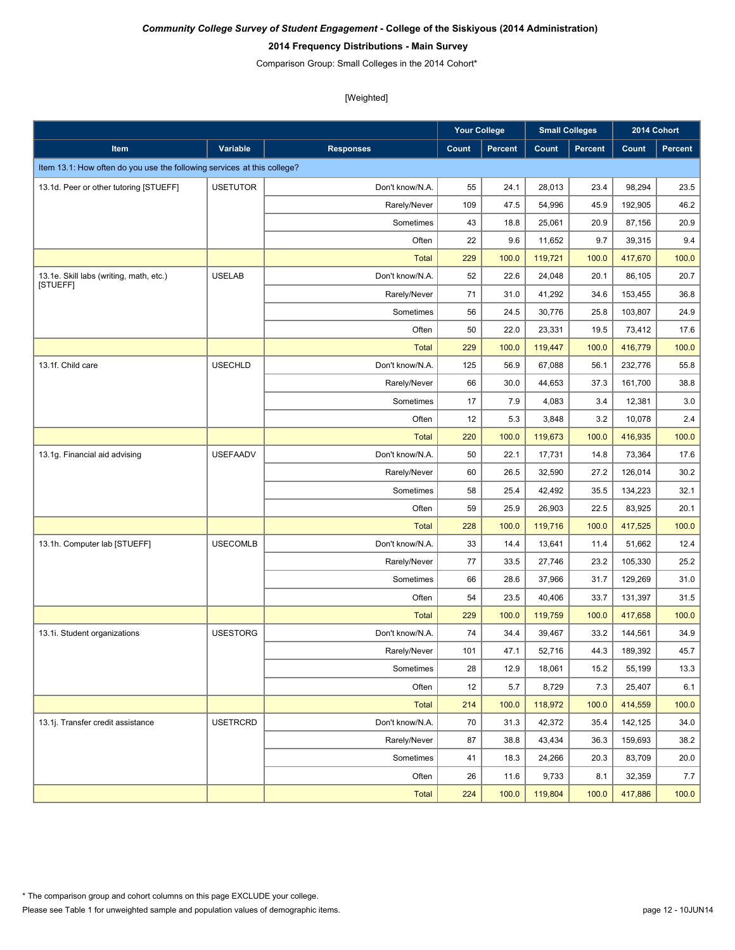### **2014 Frequency Distributions - Main Survey**

Comparison Group: Small Colleges in the 2014 Cohort\*

|                                                                         |                 |                  | <b>Your College</b> |                |         | <b>Small Colleges</b> |         | 2014 Cohort    |
|-------------------------------------------------------------------------|-----------------|------------------|---------------------|----------------|---------|-----------------------|---------|----------------|
| <b>Item</b>                                                             | <b>Variable</b> | <b>Responses</b> | Count               | <b>Percent</b> | Count   | Percent               | Count   | <b>Percent</b> |
| Item 13.1: How often do you use the following services at this college? |                 |                  |                     |                |         |                       |         |                |
| 13.1d. Peer or other tutoring [STUEFF]                                  | <b>USETUTOR</b> | Don't know/N.A.  | 55                  | 24.1           | 28,013  | 23.4                  | 98,294  | 23.5           |
|                                                                         |                 | Rarely/Never     | 109                 | 47.5           | 54,996  | 45.9                  | 192,905 | 46.2           |
|                                                                         |                 | Sometimes        | 43                  | 18.8           | 25,061  | 20.9                  | 87,156  | 20.9           |
|                                                                         |                 | Often            | 22                  | 9.6            | 11,652  | 9.7                   | 39,315  | 9.4            |
|                                                                         |                 | <b>Total</b>     | 229                 | 100.0          | 119,721 | 100.0                 | 417,670 | 100.0          |
| 13.1e. Skill labs (writing, math, etc.)                                 | <b>USELAB</b>   | Don't know/N.A.  | 52                  | 22.6           | 24,048  | 20.1                  | 86,105  | 20.7           |
| [STUEFF]                                                                |                 | Rarely/Never     | 71                  | 31.0           | 41,292  | 34.6                  | 153,455 | 36.8           |
|                                                                         |                 | Sometimes        | 56                  | 24.5           | 30,776  | 25.8                  | 103,807 | 24.9           |
|                                                                         |                 | Often            | 50                  | 22.0           | 23,331  | 19.5                  | 73,412  | 17.6           |
|                                                                         |                 | <b>Total</b>     | 229                 | 100.0          | 119,447 | 100.0                 | 416,779 | 100.0          |
| 13.1f. Child care                                                       | <b>USECHLD</b>  | Don't know/N.A.  | 125                 | 56.9           | 67,088  | 56.1                  | 232,776 | 55.8           |
|                                                                         |                 | Rarely/Never     | 66                  | 30.0           | 44,653  | 37.3                  | 161,700 | 38.8           |
|                                                                         |                 | Sometimes        | 17                  | 7.9            | 4,083   | 3.4                   | 12,381  | 3.0            |
|                                                                         |                 | Often            | 12                  | 5.3            | 3,848   | 3.2                   | 10,078  | 2.4            |
|                                                                         |                 | <b>Total</b>     | 220                 | 100.0          | 119,673 | 100.0                 | 416,935 | 100.0          |
| 13.1g. Financial aid advising                                           | <b>USEFAADV</b> | Don't know/N.A.  | 50                  | 22.1           | 17,731  | 14.8                  | 73,364  | 17.6           |
|                                                                         |                 | Rarely/Never     | 60                  | 26.5           | 32,590  | 27.2                  | 126,014 | 30.2           |
|                                                                         |                 | Sometimes        | 58                  | 25.4           | 42,492  | 35.5                  | 134,223 | 32.1           |
|                                                                         |                 | Often            | 59                  | 25.9           | 26,903  | 22.5                  | 83,925  | 20.1           |
|                                                                         |                 | <b>Total</b>     | 228                 | 100.0          | 119,716 | 100.0                 | 417,525 | 100.0          |
| 13.1h. Computer lab [STUEFF]                                            | <b>USECOMLB</b> | Don't know/N.A.  | 33                  | 14.4           | 13,641  | 11.4                  | 51,662  | 12.4           |
|                                                                         |                 | Rarely/Never     | 77                  | 33.5           | 27,746  | 23.2                  | 105,330 | 25.2           |
|                                                                         |                 | Sometimes        | 66                  | 28.6           | 37,966  | 31.7                  | 129,269 | 31.0           |
|                                                                         |                 | Often            | 54                  | 23.5           | 40,406  | 33.7                  | 131,397 | 31.5           |
|                                                                         |                 | <b>Total</b>     | 229                 | 100.0          | 119,759 | 100.0                 | 417,658 | 100.0          |
| 13.1i. Student organizations                                            | <b>USESTORG</b> | Don't know/N.A.  | 74                  | 34.4           | 39,467  | 33.2                  | 144,561 | 34.9           |
|                                                                         |                 | Rarely/Never     | 101                 | 47.1           | 52,716  | 44.3                  | 189,392 | 45.7           |
|                                                                         |                 | Sometimes        | 28                  | 12.9           | 18,061  | 15.2                  | 55,199  | 13.3           |
|                                                                         |                 | Often            | 12                  | 5.7            | 8,729   | 7.3                   | 25,407  | 6.1            |
|                                                                         |                 | <b>Total</b>     | 214                 | 100.0          | 118,972 | 100.0                 | 414,559 | 100.0          |
| 13.1j. Transfer credit assistance                                       | <b>USETRCRD</b> | Don't know/N.A.  | 70                  | 31.3           | 42,372  | 35.4                  | 142,125 | 34.0           |
|                                                                         |                 | Rarely/Never     | 87                  | 38.8           | 43,434  | 36.3                  | 159,693 | 38.2           |
|                                                                         |                 | Sometimes        | 41                  | 18.3           | 24,266  | 20.3                  | 83,709  | 20.0           |
|                                                                         |                 | Often            | 26                  | 11.6           | 9,733   | 8.1                   | 32,359  | 7.7            |
|                                                                         |                 | <b>Total</b>     | 224                 | 100.0          | 119,804 | 100.0                 | 417,886 | 100.0          |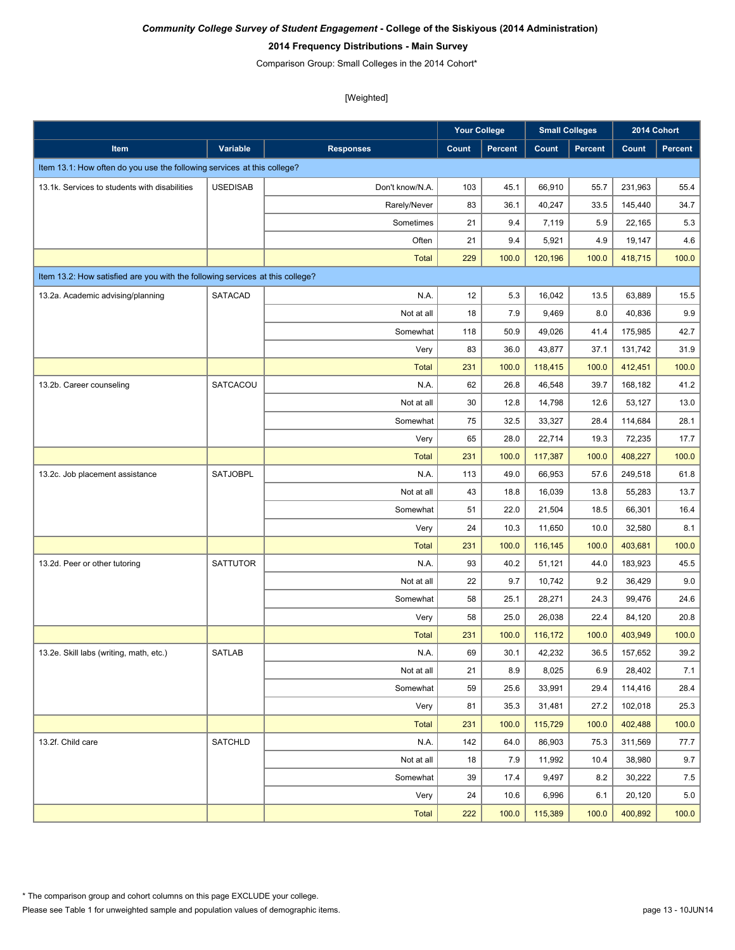### **2014 Frequency Distributions - Main Survey**

Comparison Group: Small Colleges in the 2014 Cohort\*

|                                                                               |                 |                  | <b>Your College</b> |                | <b>Small Colleges</b> |                | 2014 Cohort |                |
|-------------------------------------------------------------------------------|-----------------|------------------|---------------------|----------------|-----------------------|----------------|-------------|----------------|
| Item                                                                          | Variable        | <b>Responses</b> | Count               | <b>Percent</b> | Count                 | <b>Percent</b> | Count       | <b>Percent</b> |
| Item 13.1: How often do you use the following services at this college?       |                 |                  |                     |                |                       |                |             |                |
| 13.1k. Services to students with disabilities                                 | <b>USEDISAB</b> | Don't know/N.A.  | 103                 | 45.1           | 66,910                | 55.7           | 231,963     | 55.4           |
|                                                                               |                 | Rarely/Never     | 83                  | 36.1           | 40,247                | 33.5           | 145,440     | 34.7           |
|                                                                               |                 | Sometimes        | 21                  | 9.4            | 7,119                 | 5.9            | 22,165      | $5.3\,$        |
|                                                                               |                 | Often            | 21                  | 9.4            | 5,921                 | 4.9            | 19,147      | 4.6            |
|                                                                               |                 | <b>Total</b>     | 229                 | 100.0          | 120,196               | 100.0          | 418,715     | 100.0          |
| Item 13.2: How satisfied are you with the following services at this college? |                 |                  |                     |                |                       |                |             |                |
| 13.2a. Academic advising/planning                                             | <b>SATACAD</b>  | N.A.             | 12                  | 5.3            | 16,042                | 13.5           | 63,889      | 15.5           |
|                                                                               |                 | Not at all       | 18                  | 7.9            | 9,469                 | 8.0            | 40,836      | 9.9            |
|                                                                               |                 | Somewhat         | 118                 | 50.9           | 49,026                | 41.4           | 175,985     | 42.7           |
|                                                                               |                 | Very             | 83                  | 36.0           | 43,877                | 37.1           | 131,742     | 31.9           |
|                                                                               |                 | <b>Total</b>     | 231                 | 100.0          | 118,415               | 100.0          | 412,451     | 100.0          |
| 13.2b. Career counseling                                                      | SATCACOU        | N.A.             | 62                  | 26.8           | 46,548                | 39.7           | 168,182     | 41.2           |
|                                                                               |                 | Not at all       | 30                  | 12.8           | 14,798                | 12.6           | 53,127      | 13.0           |
|                                                                               |                 | Somewhat         | 75                  | 32.5           | 33,327                | 28.4           | 114,684     | 28.1           |
|                                                                               |                 | Very             | 65                  | 28.0           | 22,714                | 19.3           | 72,235      | 17.7           |
|                                                                               |                 | <b>Total</b>     | 231                 | 100.0          | 117,387               | 100.0          | 408,227     | 100.0          |
| 13.2c. Job placement assistance                                               | SATJOBPL        | N.A.             | 113                 | 49.0           | 66,953                | 57.6           | 249,518     | 61.8           |
|                                                                               |                 | Not at all       | 43                  | 18.8           | 16,039                | 13.8           | 55,283      | 13.7           |
|                                                                               |                 | Somewhat         | 51                  | 22.0           | 21,504                | 18.5           | 66,301      | 16.4           |
|                                                                               |                 | Very             | 24                  | 10.3           | 11,650                | 10.0           | 32,580      | 8.1            |
|                                                                               |                 | <b>Total</b>     | 231                 | 100.0          | 116,145               | 100.0          | 403,681     | 100.0          |
| 13.2d. Peer or other tutoring                                                 | <b>SATTUTOR</b> | N.A.             | 93                  | 40.2           | 51,121                | 44.0           | 183,923     | 45.5           |
|                                                                               |                 | Not at all       | 22                  | 9.7            | 10,742                | 9.2            | 36,429      | 9.0            |
|                                                                               |                 | Somewhat         | 58                  | 25.1           | 28,271                | 24.3           | 99,476      | 24.6           |
|                                                                               |                 | Very             | 58                  | 25.0           | 26,038                | 22.4           | 84,120      | 20.8           |
|                                                                               |                 | <b>Total</b>     | 231                 | 100.0          | 116,172               | 100.0          | 403,949     | 100.0          |
| 13.2e. Skill labs (writing, math, etc.)                                       | <b>SATLAB</b>   | N.A.             | 69                  | 30.1           | 42,232                | 36.5           | 157,652     | 39.2           |
|                                                                               |                 | Not at all       | 21                  | 8.9            | 8,025                 | 6.9            | 28,402      | 7.1            |
|                                                                               |                 | Somewhat         | 59                  | 25.6           | 33,991                | 29.4           | 114,416     | 28.4           |
|                                                                               |                 | Very             | 81                  | 35.3           | 31,481                | 27.2           | 102,018     | 25.3           |
|                                                                               |                 | <b>Total</b>     | 231                 | 100.0          | 115,729               | 100.0          | 402,488     | 100.0          |
| 13.2f. Child care                                                             | <b>SATCHLD</b>  | N.A.             | 142                 | 64.0           | 86,903                | 75.3           | 311,569     | 77.7           |
|                                                                               |                 | Not at all       | 18                  | 7.9            | 11,992                | 10.4           | 38,980      | 9.7            |
|                                                                               |                 | Somewhat         | 39                  | 17.4           | 9,497                 | 8.2            | 30,222      | $7.5$          |
|                                                                               |                 | Very             | 24                  | 10.6           | 6,996                 | 6.1            | 20,120      | $5.0\,$        |
|                                                                               |                 | Total            | 222                 | 100.0          | 115,389               | 100.0          | 400,892     | 100.0          |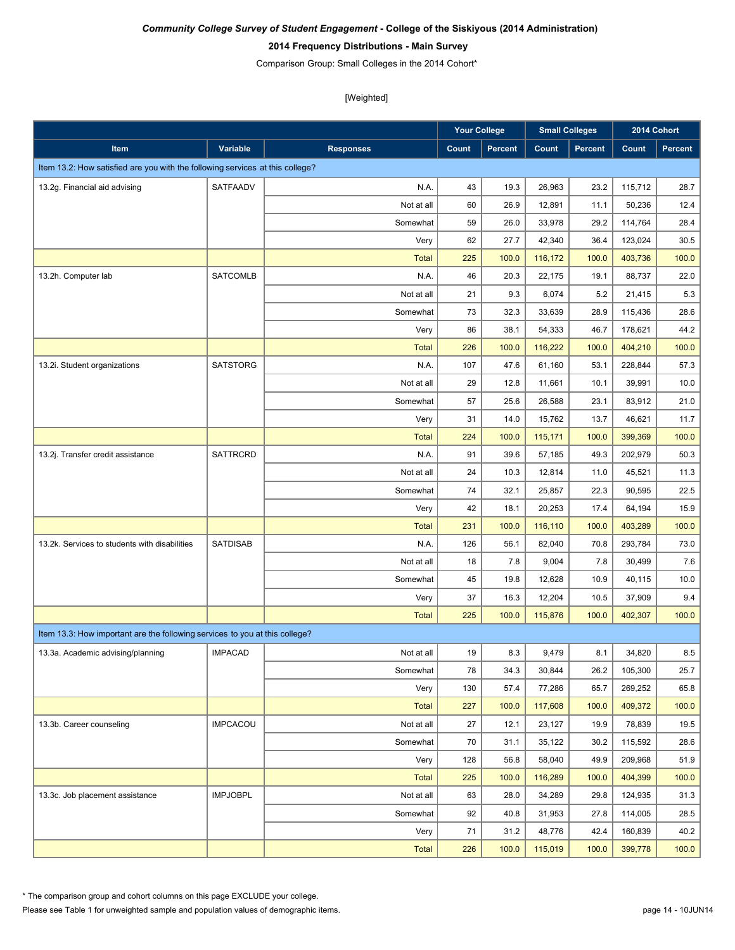#### **2014 Frequency Distributions - Main Survey**

Comparison Group: Small Colleges in the 2014 Cohort\*

[Weighted]

|                                                                               |                 |                  | <b>Your College</b> |                | <b>Small Colleges</b> |                |         | 2014 Cohort |
|-------------------------------------------------------------------------------|-----------------|------------------|---------------------|----------------|-----------------------|----------------|---------|-------------|
| Item                                                                          | Variable        | <b>Responses</b> | Count               | <b>Percent</b> | Count                 | <b>Percent</b> | Count   | Percent     |
| Item 13.2: How satisfied are you with the following services at this college? |                 |                  |                     |                |                       |                |         |             |
| 13.2g. Financial aid advising                                                 | SATFAADV        | N.A.             | 43                  | 19.3           | 26,963                | 23.2           | 115,712 | 28.7        |
|                                                                               |                 | Not at all       | 60                  | 26.9           | 12,891                | 11.1           | 50,236  | 12.4        |
|                                                                               |                 | Somewhat         | 59                  | 26.0           | 33,978                | 29.2           | 114,764 | 28.4        |
|                                                                               |                 | Very             | 62                  | 27.7           | 42,340                | 36.4           | 123,024 | 30.5        |
|                                                                               |                 | <b>Total</b>     | 225                 | 100.0          | 116,172               | 100.0          | 403,736 | 100.0       |
| 13.2h. Computer lab                                                           | <b>SATCOMLB</b> | N.A.             | 46                  | 20.3           | 22.175                | 19.1           | 88,737  | 22.0        |
|                                                                               |                 | Not at all       | 21                  | 9.3            | 6,074                 | 5.2            | 21,415  | 5.3         |
|                                                                               |                 | Somewhat         | 73                  | 32.3           | 33,639                | 28.9           | 115,436 | 28.6        |
|                                                                               |                 | Very             | 86                  | 38.1           | 54,333                | 46.7           | 178,621 | 44.2        |
|                                                                               |                 | <b>Total</b>     | 226                 | 100.0          | 116,222               | 100.0          | 404,210 | 100.0       |
| 13.2i. Student organizations                                                  | <b>SATSTORG</b> | N.A.             | 107                 | 47.6           | 61,160                | 53.1           | 228,844 | 57.3        |
|                                                                               |                 | Not at all       | 29                  | 12.8           | 11,661                | 10.1           | 39,991  | 10.0        |
|                                                                               |                 | Somewhat         | 57                  | 25.6           | 26,588                | 23.1           | 83,912  | 21.0        |
|                                                                               |                 | Very             | 31                  | 14.0           | 15,762                | 13.7           | 46,621  | 11.7        |
|                                                                               |                 | <b>Total</b>     | 224                 | 100.0          | 115,171               | 100.0          | 399,369 | 100.0       |
| 13.2j. Transfer credit assistance                                             | <b>SATTRCRD</b> | N.A.             | 91                  | 39.6           | 57,185                | 49.3           | 202,979 | 50.3        |
|                                                                               |                 | Not at all       | 24                  | 10.3           | 12,814                | 11.0           | 45,521  | 11.3        |
|                                                                               |                 | Somewhat         | 74                  | 32.1           | 25,857                | 22.3           | 90,595  | 22.5        |
|                                                                               |                 | Very             | 42                  | 18.1           | 20,253                | 17.4           | 64,194  | 15.9        |
|                                                                               |                 | <b>Total</b>     | 231                 | 100.0          | 116,110               | 100.0          | 403,289 | 100.0       |
| 13.2k. Services to students with disabilities                                 | <b>SATDISAB</b> | N.A.             | 126                 | 56.1           | 82,040                | 70.8           | 293,784 | 73.0        |
|                                                                               |                 | Not at all       | 18                  | 7.8            | 9,004                 | 7.8            | 30,499  | 7.6         |
|                                                                               |                 | Somewhat         | 45                  | 19.8           | 12,628                | 10.9           | 40,115  | 10.0        |
|                                                                               |                 | Very             | 37                  | 16.3           | 12,204                | 10.5           | 37,909  | 9.4         |
|                                                                               |                 | <b>Total</b>     | 225                 | 100.0          | 115,876               | 100.0          | 402,307 | 100.0       |
| Item 13.3: How important are the following services to you at this college?   |                 |                  |                     |                |                       |                |         |             |
| 13.3a. Academic advising/planning                                             | <b>IMPACAD</b>  | Not at all       | 19                  | 8.3            | 9,479                 | 8.1            | 34,820  | $8.5\,$     |
|                                                                               |                 | Somewhat         | 78                  | 34.3           | 30,844                | 26.2           | 105,300 | 25.7        |
|                                                                               |                 | Very             | 130                 | 57.4           | 77,286                | 65.7           | 269,252 | 65.8        |
|                                                                               |                 | <b>Total</b>     | 227                 | 100.0          | 117,608               | 100.0          | 409,372 | 100.0       |
| 13.3b. Career counseling                                                      | <b>IMPCACOU</b> | Not at all       | 27                  | 12.1           | 23,127                | 19.9           | 78,839  | 19.5        |
|                                                                               |                 | Somewhat         | 70                  | 31.1           | 35,122                | 30.2           | 115,592 | 28.6        |
|                                                                               |                 | Very             | 128                 | 56.8           | 58,040                | 49.9           | 209,968 | 51.9        |
|                                                                               |                 | <b>Total</b>     | 225                 | 100.0          | 116,289               | 100.0          | 404,399 | 100.0       |
| 13.3c. Job placement assistance                                               | <b>IMPJOBPL</b> | Not at all       | 63                  | 28.0           | 34,289                | 29.8           | 124,935 | 31.3        |
|                                                                               |                 | Somewhat         | 92                  | 40.8           | 31,953                | 27.8           | 114,005 | 28.5        |
|                                                                               |                 | Very             | 71                  | 31.2           | 48,776                | 42.4           | 160,839 | 40.2        |
|                                                                               |                 | <b>Total</b>     | 226                 | 100.0          | 115,019               | 100.0          | 399,778 | 100.0       |

\* The comparison group and cohort columns on this page EXCLUDE your college.

Please see Table 1 for unweighted sample and population values of demographic items.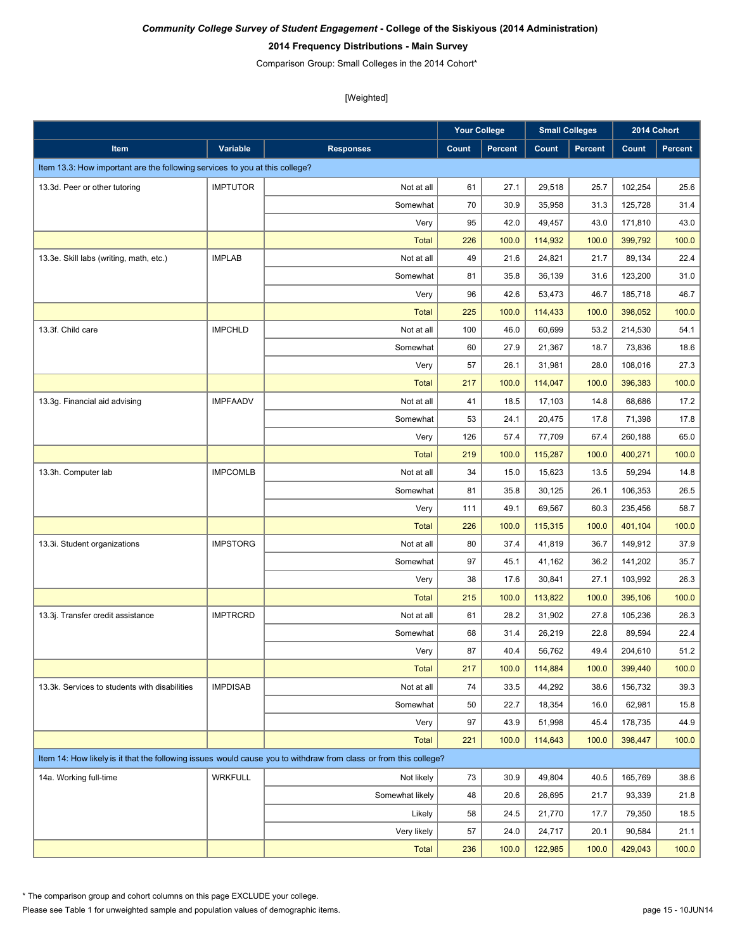### **2014 Frequency Distributions - Main Survey**

Comparison Group: Small Colleges in the 2014 Cohort\*

[Weighted]

|                                                                             |                 |                                                                                                                  | <b>Your College</b> |                | <b>Small Colleges</b> |                |         | 2014 Cohort    |
|-----------------------------------------------------------------------------|-----------------|------------------------------------------------------------------------------------------------------------------|---------------------|----------------|-----------------------|----------------|---------|----------------|
| Item                                                                        | Variable        | <b>Responses</b>                                                                                                 | Count               | <b>Percent</b> | Count                 | <b>Percent</b> | Count   | <b>Percent</b> |
| Item 13.3: How important are the following services to you at this college? |                 |                                                                                                                  |                     |                |                       |                |         |                |
| 13.3d. Peer or other tutoring                                               | <b>IMPTUTOR</b> | Not at all                                                                                                       | 61                  | 27.1           | 29,518                | 25.7           | 102,254 | 25.6           |
|                                                                             |                 | Somewhat                                                                                                         | 70                  | 30.9           | 35,958                | 31.3           | 125,728 | 31.4           |
|                                                                             |                 | Very                                                                                                             | 95                  | 42.0           | 49,457                | 43.0           | 171,810 | 43.0           |
|                                                                             |                 | <b>Total</b>                                                                                                     | 226                 | 100.0          | 114,932               | 100.0          | 399,792 | 100.0          |
| 13.3e. Skill labs (writing, math, etc.)                                     | <b>IMPLAB</b>   | Not at all                                                                                                       | 49                  | 21.6           | 24,821                | 21.7           | 89,134  | 22.4           |
|                                                                             |                 | Somewhat                                                                                                         | 81                  | 35.8           | 36,139                | 31.6           | 123,200 | 31.0           |
|                                                                             |                 | Very                                                                                                             | 96                  | 42.6           | 53,473                | 46.7           | 185,718 | 46.7           |
|                                                                             |                 | <b>Total</b>                                                                                                     | 225                 | 100.0          | 114,433               | 100.0          | 398,052 | 100.0          |
| 13.3f. Child care                                                           | <b>IMPCHLD</b>  | Not at all                                                                                                       | 100                 | 46.0           | 60,699                | 53.2           | 214,530 | 54.1           |
|                                                                             |                 | Somewhat                                                                                                         | 60                  | 27.9           | 21,367                | 18.7           | 73,836  | 18.6           |
|                                                                             |                 | Very                                                                                                             | 57                  | 26.1           | 31,981                | 28.0           | 108,016 | 27.3           |
|                                                                             |                 | <b>Total</b>                                                                                                     | 217                 | 100.0          | 114,047               | 100.0          | 396,383 | 100.0          |
| 13.3g. Financial aid advising                                               | <b>IMPFAADV</b> | Not at all                                                                                                       | 41                  | 18.5           | 17,103                | 14.8           | 68,686  | 17.2           |
|                                                                             |                 | Somewhat                                                                                                         | 53                  | 24.1           | 20,475                | 17.8           | 71,398  | 17.8           |
|                                                                             |                 | Very                                                                                                             | 126                 | 57.4           | 77,709                | 67.4           | 260,188 | 65.0           |
|                                                                             |                 | <b>Total</b>                                                                                                     | 219                 | 100.0          | 115,287               | 100.0          | 400,271 | 100.0          |
| 13.3h. Computer lab                                                         | <b>IMPCOMLB</b> | Not at all                                                                                                       | 34                  | 15.0           | 15,623                | 13.5           | 59,294  | 14.8           |
|                                                                             |                 | Somewhat                                                                                                         | 81                  | 35.8           | 30,125                | 26.1           | 106,353 | 26.5           |
|                                                                             |                 | Very                                                                                                             | 111                 | 49.1           | 69,567                | 60.3           | 235,456 | 58.7           |
|                                                                             |                 | <b>Total</b>                                                                                                     | 226                 | 100.0          | 115,315               | 100.0          | 401,104 | 100.0          |
| 13.3i. Student organizations                                                | <b>IMPSTORG</b> | Not at all                                                                                                       | 80                  | 37.4           | 41,819                | 36.7           | 149,912 | 37.9           |
|                                                                             |                 | Somewhat                                                                                                         | 97                  | 45.1           | 41,162                | 36.2           | 141,202 | 35.7           |
|                                                                             |                 | Very                                                                                                             | 38                  | 17.6           | 30,841                | 27.1           | 103,992 | 26.3           |
|                                                                             |                 | <b>Total</b>                                                                                                     | 215                 | 100.0          | 113,822               | 100.0          | 395,106 | 100.0          |
| 13.3j. Transfer credit assistance                                           | <b>IMPTRCRD</b> | Not at all                                                                                                       | 61                  | 28.2           | 31,902                | 27.8           | 105,236 | 26.3           |
|                                                                             |                 | Somewhat                                                                                                         | 68                  | 31.4           | 26,219                | 22.8           | 89,594  | 22.4           |
|                                                                             |                 | Very                                                                                                             | 87                  | 40.4           | 56,762                | 49.4           | 204,610 | 51.2           |
|                                                                             |                 | <b>Total</b>                                                                                                     | 217                 | 100.0          | 114,884               | 100.0          | 399,440 | 100.0          |
| 13.3k. Services to students with disabilities                               | <b>IMPDISAB</b> | Not at all                                                                                                       | 74                  | 33.5           | 44,292                | 38.6           | 156,732 | 39.3           |
|                                                                             |                 | Somewhat                                                                                                         | 50                  | 22.7           | 18,354                | 16.0           | 62,981  | 15.8           |
|                                                                             |                 | Very                                                                                                             | 97                  | 43.9           | 51,998                | 45.4           | 178,735 | 44.9           |
|                                                                             |                 | <b>Total</b>                                                                                                     | 221                 | 100.0          | 114,643               | 100.0          | 398,447 | 100.0          |
|                                                                             |                 | Item 14: How likely is it that the following issues would cause you to withdraw from class or from this college? |                     |                |                       |                |         |                |
| 14a. Working full-time                                                      | <b>WRKFULL</b>  | Not likely                                                                                                       | 73                  | 30.9           | 49,804                | 40.5           | 165,769 | 38.6           |
|                                                                             |                 | Somewhat likely                                                                                                  | 48                  | 20.6           | 26,695                | 21.7           | 93,339  | 21.8           |
|                                                                             |                 | Likely                                                                                                           | 58                  | 24.5           | 21,770                | 17.7           | 79,350  | 18.5           |
|                                                                             |                 | Very likely                                                                                                      | 57                  | 24.0           | 24,717                | 20.1           | 90,584  | 21.1           |
|                                                                             |                 | <b>Total</b>                                                                                                     | 236                 | 100.0          | 122,985               | 100.0          | 429,043 | 100.0          |

\* The comparison group and cohort columns on this page EXCLUDE your college.

Please see Table 1 for unweighted sample and population values of demographic items.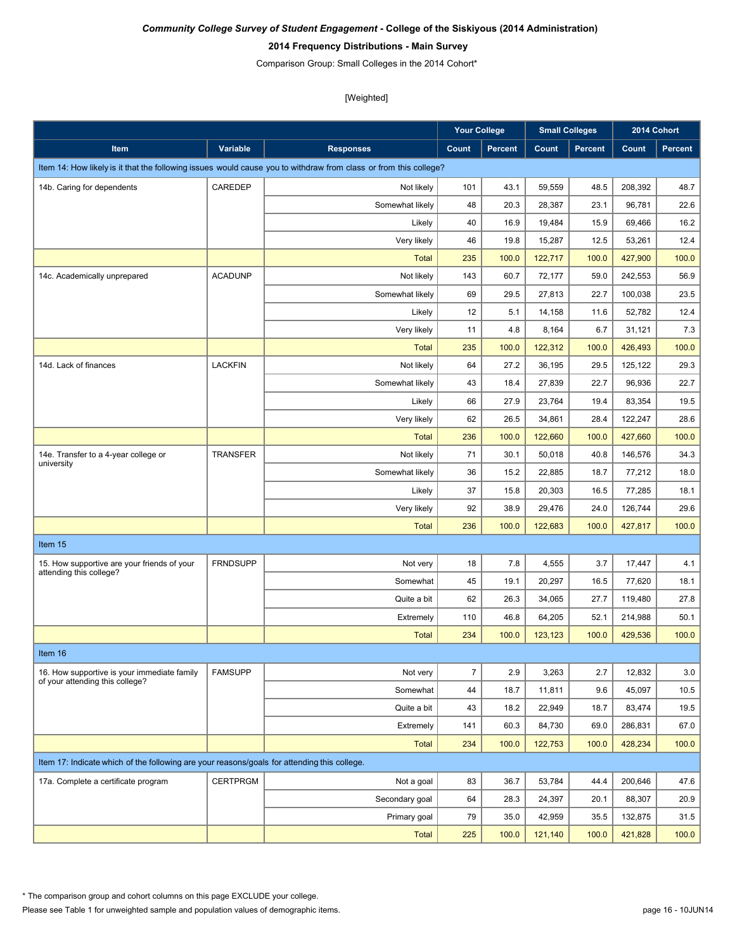### **2014 Frequency Distributions - Main Survey**

Comparison Group: Small Colleges in the 2014 Cohort\*

|                                                                                             |                 |                                                                                                                  | <b>Your College</b> |                |         | <b>Small Colleges</b> |         | 2014 Cohort |
|---------------------------------------------------------------------------------------------|-----------------|------------------------------------------------------------------------------------------------------------------|---------------------|----------------|---------|-----------------------|---------|-------------|
| <b>Item</b>                                                                                 | Variable        | <b>Responses</b>                                                                                                 | Count               | <b>Percent</b> | Count   | <b>Percent</b>        | Count   | Percent     |
|                                                                                             |                 | Item 14: How likely is it that the following issues would cause you to withdraw from class or from this college? |                     |                |         |                       |         |             |
| 14b. Caring for dependents                                                                  | CAREDEP         | Not likely                                                                                                       | 101                 | 43.1           | 59,559  | 48.5                  | 208,392 | 48.7        |
|                                                                                             |                 | Somewhat likely                                                                                                  | 48                  | 20.3           | 28,387  | 23.1                  | 96,781  | 22.6        |
|                                                                                             |                 | Likely                                                                                                           | 40                  | 16.9           | 19,484  | 15.9                  | 69,466  | 16.2        |
|                                                                                             |                 | Very likely                                                                                                      | 46                  | 19.8           | 15,287  | 12.5                  | 53,261  | 12.4        |
|                                                                                             |                 | <b>Total</b>                                                                                                     | 235                 | 100.0          | 122,717 | 100.0                 | 427,900 | 100.0       |
| 14c. Academically unprepared                                                                | <b>ACADUNP</b>  | Not likely                                                                                                       | 143                 | 60.7           | 72,177  | 59.0                  | 242,553 | 56.9        |
|                                                                                             |                 | Somewhat likely                                                                                                  | 69                  | 29.5           | 27,813  | 22.7                  | 100,038 | 23.5        |
|                                                                                             |                 | Likely                                                                                                           | 12                  | 5.1            | 14,158  | 11.6                  | 52,782  | 12.4        |
|                                                                                             |                 | Very likely                                                                                                      | 11                  | 4.8            | 8,164   | 6.7                   | 31,121  | 7.3         |
|                                                                                             |                 | <b>Total</b>                                                                                                     | 235                 | 100.0          | 122,312 | 100.0                 | 426,493 | 100.0       |
| 14d. Lack of finances                                                                       | <b>LACKFIN</b>  | Not likely                                                                                                       | 64                  | 27.2           | 36,195  | 29.5                  | 125,122 | 29.3        |
|                                                                                             |                 | Somewhat likely                                                                                                  | 43                  | 18.4           | 27,839  | 22.7                  | 96,936  | 22.7        |
|                                                                                             |                 | Likely                                                                                                           | 66                  | 27.9           | 23,764  | 19.4                  | 83,354  | 19.5        |
|                                                                                             |                 | Very likely                                                                                                      | 62                  | 26.5           | 34,861  | 28.4                  | 122,247 | 28.6        |
|                                                                                             |                 | <b>Total</b>                                                                                                     | 236                 | 100.0          | 122,660 | 100.0                 | 427,660 | 100.0       |
| 14e. Transfer to a 4-year college or<br>university                                          | <b>TRANSFER</b> | Not likely                                                                                                       | 71                  | 30.1           | 50,018  | 40.8                  | 146,576 | 34.3        |
|                                                                                             |                 | Somewhat likely                                                                                                  | 36                  | 15.2           | 22,885  | 18.7                  | 77,212  | 18.0        |
|                                                                                             |                 | Likely                                                                                                           | 37                  | 15.8           | 20,303  | 16.5                  | 77,285  | 18.1        |
|                                                                                             |                 | Very likely                                                                                                      | 92                  | 38.9           | 29,476  | 24.0                  | 126,744 | 29.6        |
|                                                                                             |                 | <b>Total</b>                                                                                                     | 236                 | 100.0          | 122,683 | 100.0                 | 427,817 | 100.0       |
| Item 15                                                                                     |                 |                                                                                                                  |                     |                |         |                       |         |             |
| 15. How supportive are your friends of your                                                 | <b>FRNDSUPP</b> | Not very                                                                                                         | 18                  | 7.8            | 4,555   | 3.7                   | 17,447  | 4.1         |
| attending this college?                                                                     |                 | Somewhat                                                                                                         | 45                  | 19.1           | 20,297  | 16.5                  | 77,620  | 18.1        |
|                                                                                             |                 | Quite a bit                                                                                                      | 62                  | 26.3           | 34,065  | 27.7                  | 119,480 | 27.8        |
|                                                                                             |                 | Extremely                                                                                                        | 110                 | 46.8           | 64,205  | 52.1                  | 214,988 | 50.1        |
|                                                                                             |                 | <b>Total</b>                                                                                                     | 234                 | 100.0          | 123,123 | 100.0                 | 429.536 | 100.0       |
| Item 16                                                                                     |                 |                                                                                                                  |                     |                |         |                       |         |             |
| 16. How supportive is your immediate family                                                 | <b>FAMSUPP</b>  | Not very                                                                                                         | $\overline{7}$      | 2.9            | 3,263   | 2.7                   | 12,832  | 3.0         |
| of your attending this college?                                                             |                 | Somewhat                                                                                                         | 44                  | 18.7           | 11.811  | 9.6                   | 45,097  | 10.5        |
|                                                                                             |                 | Quite a bit                                                                                                      | 43                  | 18.2           | 22,949  | 18.7                  | 83,474  | 19.5        |
|                                                                                             |                 | Extremely                                                                                                        | 141                 | 60.3           | 84,730  | 69.0                  | 286,831 | 67.0        |
|                                                                                             |                 | <b>Total</b>                                                                                                     | 234                 | 100.0          | 122,753 | 100.0                 | 428,234 | 100.0       |
| Item 17: Indicate which of the following are your reasons/goals for attending this college. |                 |                                                                                                                  |                     |                |         |                       |         |             |
| 17a. Complete a certificate program                                                         | <b>CERTPRGM</b> | Not a goal                                                                                                       | 83                  | 36.7           | 53,784  | 44.4                  | 200,646 | 47.6        |
|                                                                                             |                 | Secondary goal                                                                                                   | 64                  | 28.3           | 24,397  | 20.1                  | 88,307  | 20.9        |
|                                                                                             |                 | Primary goal                                                                                                     | 79                  | 35.0           | 42,959  | 35.5                  | 132,875 | 31.5        |
|                                                                                             |                 | <b>Total</b>                                                                                                     | 225                 | 100.0          | 121,140 | 100.0                 | 421,828 | 100.0       |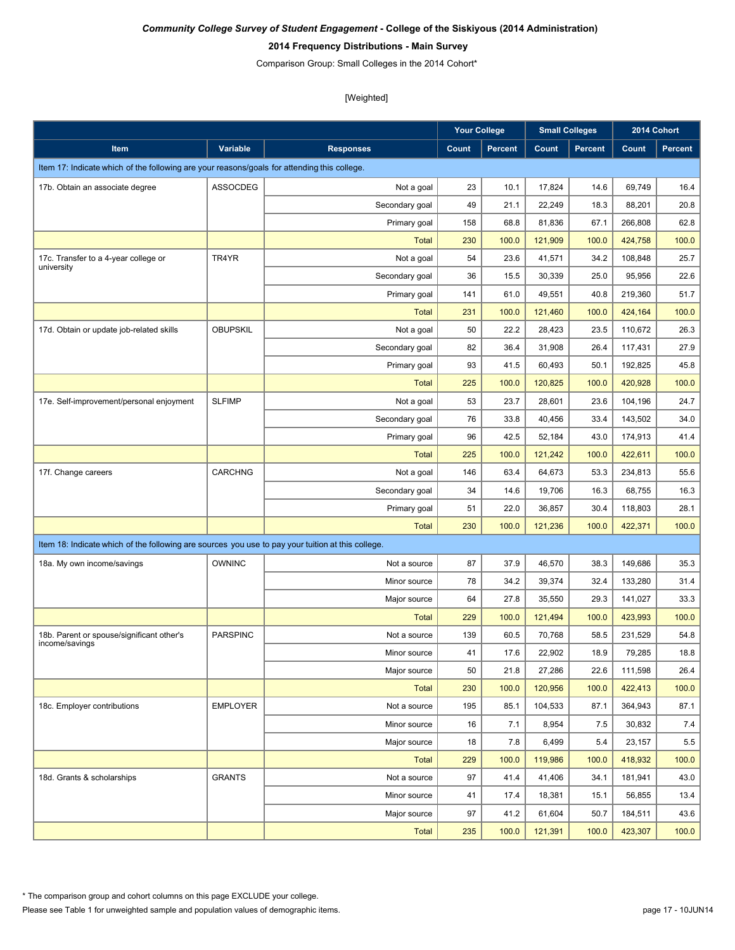#### **2014 Frequency Distributions - Main Survey**

Comparison Group: Small Colleges in the 2014 Cohort\*

|                                                                                                   |                 |                  | <b>Your College</b> |                |         | <b>Small Colleges</b> |         | 2014 Cohort    |
|---------------------------------------------------------------------------------------------------|-----------------|------------------|---------------------|----------------|---------|-----------------------|---------|----------------|
| Item                                                                                              | Variable        | <b>Responses</b> | Count               | <b>Percent</b> | Count   | <b>Percent</b>        | Count   | <b>Percent</b> |
| Item 17: Indicate which of the following are your reasons/goals for attending this college.       |                 |                  |                     |                |         |                       |         |                |
| 17b. Obtain an associate degree                                                                   | ASSOCDEG        | Not a goal       | 23                  | 10.1           | 17,824  | 14.6                  | 69,749  | 16.4           |
|                                                                                                   |                 | Secondary goal   | 49                  | 21.1           | 22,249  | 18.3                  | 88,201  | 20.8           |
|                                                                                                   |                 | Primary goal     | 158                 | 68.8           | 81,836  | 67.1                  | 266,808 | 62.8           |
|                                                                                                   |                 | Total            | 230                 | 100.0          | 121.909 | 100.0                 | 424,758 | 100.0          |
| 17c. Transfer to a 4-year college or<br>university                                                | TR4YR           | Not a goal       | 54                  | 23.6           | 41,571  | 34.2                  | 108,848 | 25.7           |
|                                                                                                   |                 | Secondary goal   | 36                  | 15.5           | 30,339  | 25.0                  | 95,956  | 22.6           |
|                                                                                                   |                 | Primary goal     | 141                 | 61.0           | 49,551  | 40.8                  | 219.360 | 51.7           |
|                                                                                                   |                 | Total            | 231                 | 100.0          | 121,460 | 100.0                 | 424,164 | 100.0          |
| 17d. Obtain or update job-related skills                                                          | <b>OBUPSKIL</b> | Not a goal       | 50                  | 22.2           | 28,423  | 23.5                  | 110,672 | 26.3           |
|                                                                                                   |                 | Secondary goal   | 82                  | 36.4           | 31,908  | 26.4                  | 117,431 | 27.9           |
|                                                                                                   |                 | Primary goal     | 93                  | 41.5           | 60,493  | 50.1                  | 192,825 | 45.8           |
|                                                                                                   |                 | <b>Total</b>     | 225                 | 100.0          | 120,825 | 100.0                 | 420,928 | 100.0          |
| 17e. Self-improvement/personal enjoyment                                                          | <b>SLFIMP</b>   | Not a goal       | 53                  | 23.7           | 28,601  | 23.6                  | 104,196 | 24.7           |
|                                                                                                   |                 | Secondary goal   | 76                  | 33.8           | 40,456  | 33.4                  | 143,502 | 34.0           |
|                                                                                                   |                 | Primary goal     | 96                  | 42.5           | 52,184  | 43.0                  | 174,913 | 41.4           |
|                                                                                                   |                 | <b>Total</b>     | 225                 | 100.0          | 121,242 | 100.0                 | 422.611 | 100.0          |
| 17f. Change careers                                                                               | <b>CARCHNG</b>  | Not a goal       | 146                 | 63.4           | 64,673  | 53.3                  | 234,813 | 55.6           |
|                                                                                                   |                 | Secondary goal   | 34                  | 14.6           | 19,706  | 16.3                  | 68,755  | 16.3           |
|                                                                                                   |                 | Primary goal     | 51                  | 22.0           | 36,857  | 30.4                  | 118,803 | 28.1           |
|                                                                                                   |                 | <b>Total</b>     | 230                 | 100.0          | 121,236 | 100.0                 | 422,371 | 100.0          |
| Item 18: Indicate which of the following are sources you use to pay your tuition at this college. |                 |                  |                     |                |         |                       |         |                |
| 18a. My own income/savings                                                                        | <b>OWNINC</b>   | Not a source     | 87                  | 37.9           | 46,570  | 38.3                  | 149,686 | 35.3           |
|                                                                                                   |                 | Minor source     | 78                  | 34.2           | 39,374  | 32.4                  | 133,280 | 31.4           |
|                                                                                                   |                 | Major source     | 64                  | 27.8           | 35,550  | 29.3                  | 141,027 | 33.3           |
|                                                                                                   |                 | <b>Total</b>     | 229                 | 100.0          | 121,494 | 100.0                 | 423,993 | 100.0          |
| 18b. Parent or spouse/significant other's                                                         | <b>PARSPINC</b> | Not a source     | 139                 | 60.5           | 70,768  | 58.5                  | 231,529 | 54.8           |
| income/savings                                                                                    |                 | Minor source     | 41                  | 17.6           | 22,902  | 18.9                  | 79,285  | 18.8           |
|                                                                                                   |                 | Major source     | 50                  | 21.8           | 27,286  | 22.6                  | 111,598 | 26.4           |
|                                                                                                   |                 | <b>Total</b>     | 230                 | 100.0          | 120,956 | 100.0                 | 422,413 | 100.0          |
| 18c. Employer contributions                                                                       | <b>EMPLOYER</b> | Not a source     | 195                 | 85.1           | 104,533 | 87.1                  | 364,943 | 87.1           |
|                                                                                                   |                 | Minor source     | 16                  | 7.1            | 8,954   | 7.5                   | 30,832  | 7.4            |
|                                                                                                   |                 | Major source     | 18                  | 7.8            | 6,499   | 5.4                   | 23,157  | $5.5\,$        |
|                                                                                                   |                 | <b>Total</b>     | 229                 | 100.0          | 119,986 | 100.0                 | 418,932 | 100.0          |
| 18d. Grants & scholarships                                                                        | <b>GRANTS</b>   | Not a source     | 97                  | 41.4           | 41,406  | 34.1                  | 181,941 | 43.0           |
|                                                                                                   |                 | Minor source     | 41                  | 17.4           | 18,381  | 15.1                  | 56,855  | 13.4           |
|                                                                                                   |                 | Major source     | 97                  | 41.2           | 61,604  | 50.7                  | 184,511 | 43.6           |
|                                                                                                   |                 | <b>Total</b>     | 235                 | 100.0          | 121,391 | 100.0                 | 423,307 | 100.0          |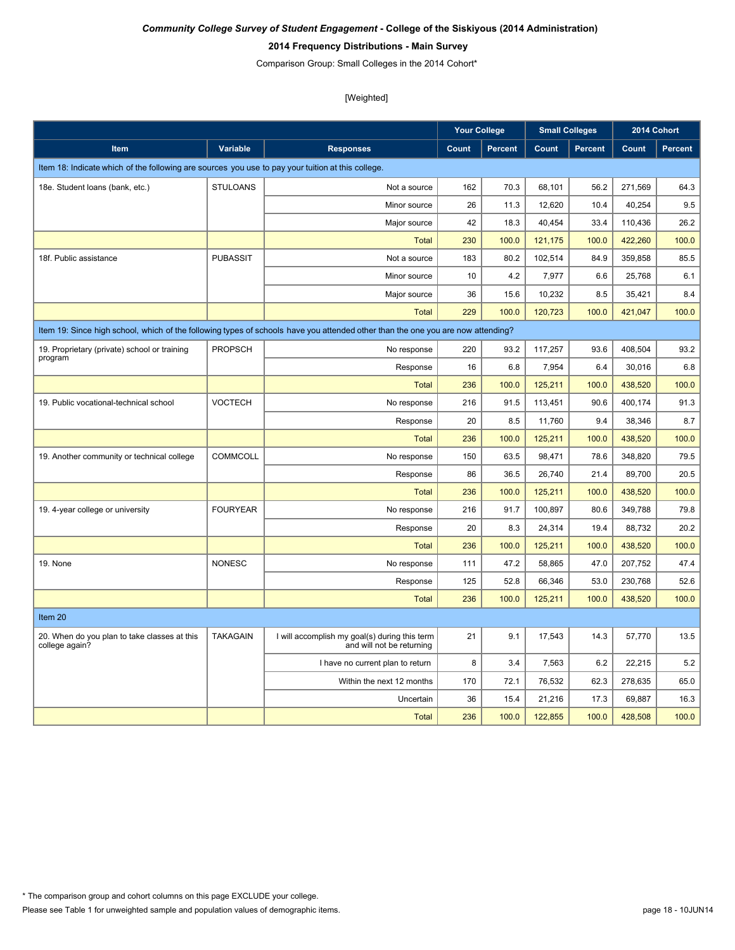### **2014 Frequency Distributions - Main Survey**

Comparison Group: Small Colleges in the 2014 Cohort\*

|                                                                                                   |                 |                                                                                                                                 | <b>Your College</b> |                |              | <b>Small Colleges</b> | 2014 Cohort |                |
|---------------------------------------------------------------------------------------------------|-----------------|---------------------------------------------------------------------------------------------------------------------------------|---------------------|----------------|--------------|-----------------------|-------------|----------------|
| <b>Item</b>                                                                                       | Variable        | <b>Responses</b>                                                                                                                | Count               | <b>Percent</b> | <b>Count</b> | <b>Percent</b>        | Count       | <b>Percent</b> |
| Item 18: Indicate which of the following are sources you use to pay your tuition at this college. |                 |                                                                                                                                 |                     |                |              |                       |             |                |
| 18e. Student loans (bank, etc.)                                                                   | <b>STULOANS</b> | Not a source                                                                                                                    | 162                 | 70.3           | 68,101       | 56.2                  | 271,569     | 64.3           |
|                                                                                                   |                 | Minor source                                                                                                                    | 26                  | 11.3           | 12,620       | 10.4                  | 40,254      | 9.5            |
|                                                                                                   |                 | Major source                                                                                                                    | 42                  | 18.3           | 40,454       | 33.4                  | 110,436     | 26.2           |
|                                                                                                   |                 | <b>Total</b>                                                                                                                    | 230                 | 100.0          | 121,175      | 100.0                 | 422,260     | 100.0          |
| 18f. Public assistance                                                                            | <b>PUBASSIT</b> | Not a source                                                                                                                    | 183                 | 80.2           | 102,514      | 84.9                  | 359.858     | 85.5           |
|                                                                                                   |                 | Minor source                                                                                                                    | 10                  | 4.2            | 7,977        | 6.6                   | 25,768      | 6.1            |
|                                                                                                   |                 | Major source                                                                                                                    | 36                  | 15.6           | 10,232       | 8.5                   | 35,421      | 8.4            |
|                                                                                                   |                 | <b>Total</b>                                                                                                                    | 229                 | 100.0          | 120,723      | 100.0                 | 421,047     | 100.0          |
|                                                                                                   |                 | Item 19: Since high school, which of the following types of schools have you attended other than the one you are now attending? |                     |                |              |                       |             |                |
| 19. Proprietary (private) school or training                                                      | <b>PROPSCH</b>  | No response                                                                                                                     | 220                 | 93.2           | 117,257      | 93.6                  | 408,504     | 93.2           |
| program                                                                                           |                 | Response                                                                                                                        | 16                  | 6.8            | 7,954        | 6.4                   | 30,016      | 6.8            |
|                                                                                                   |                 | Total                                                                                                                           | 236                 | 100.0          | 125,211      | 100.0                 | 438,520     | 100.0          |
| 19. Public vocational-technical school                                                            | <b>VOCTECH</b>  | No response                                                                                                                     | 216                 | 91.5           | 113,451      | 90.6                  | 400,174     | 91.3           |
|                                                                                                   |                 | Response                                                                                                                        | 20                  | 8.5            | 11.760       | 9.4                   | 38.346      | 8.7            |
|                                                                                                   |                 | <b>Total</b>                                                                                                                    | 236                 | 100.0          | 125,211      | 100.0                 | 438,520     | 100.0          |
| 19. Another community or technical college                                                        | <b>COMMCOLL</b> | No response                                                                                                                     | 150                 | 63.5           | 98,471       | 78.6                  | 348,820     | 79.5           |
|                                                                                                   |                 | Response                                                                                                                        | 86                  | 36.5           | 26,740       | 21.4                  | 89,700      | 20.5           |
|                                                                                                   |                 | Total                                                                                                                           | 236                 | 100.0          | 125,211      | 100.0                 | 438.520     | 100.0          |
| 19. 4-year college or university                                                                  | <b>FOURYEAR</b> | No response                                                                                                                     | 216                 | 91.7           | 100,897      | 80.6                  | 349,788     | 79.8           |
|                                                                                                   |                 | Response                                                                                                                        | 20                  | 8.3            | 24,314       | 19.4                  | 88,732      | 20.2           |
|                                                                                                   |                 | <b>Total</b>                                                                                                                    | 236                 | 100.0          | 125,211      | 100.0                 | 438,520     | 100.0          |
| 19. None                                                                                          | <b>NONESC</b>   | No response                                                                                                                     | 111                 | 47.2           | 58,865       | 47.0                  | 207,752     | 47.4           |
|                                                                                                   |                 | Response                                                                                                                        | 125                 | 52.8           | 66,346       | 53.0                  | 230,768     | 52.6           |
|                                                                                                   |                 | Total                                                                                                                           | 236                 | 100.0          | 125.211      | 100.0                 | 438.520     | 100.0          |
| Item 20                                                                                           |                 |                                                                                                                                 |                     |                |              |                       |             |                |
| 20. When do you plan to take classes at this<br>college again?                                    | <b>TAKAGAIN</b> | I will accomplish my goal(s) during this term<br>and will not be returning                                                      | 21                  | 9.1            | 17,543       | 14.3                  | 57,770      | 13.5           |
|                                                                                                   |                 | I have no current plan to return                                                                                                | 8                   | 3.4            | 7,563        | 6.2                   | 22,215      | 5.2            |
|                                                                                                   |                 | Within the next 12 months                                                                                                       | 170                 | 72.1           | 76,532       | 62.3                  | 278,635     | 65.0           |
|                                                                                                   |                 | Uncertain                                                                                                                       | 36                  | 15.4           | 21,216       | 17.3                  | 69,887      | 16.3           |
|                                                                                                   |                 | Total                                                                                                                           | 236                 | 100.0          | 122,855      | 100.0                 | 428,508     | 100.0          |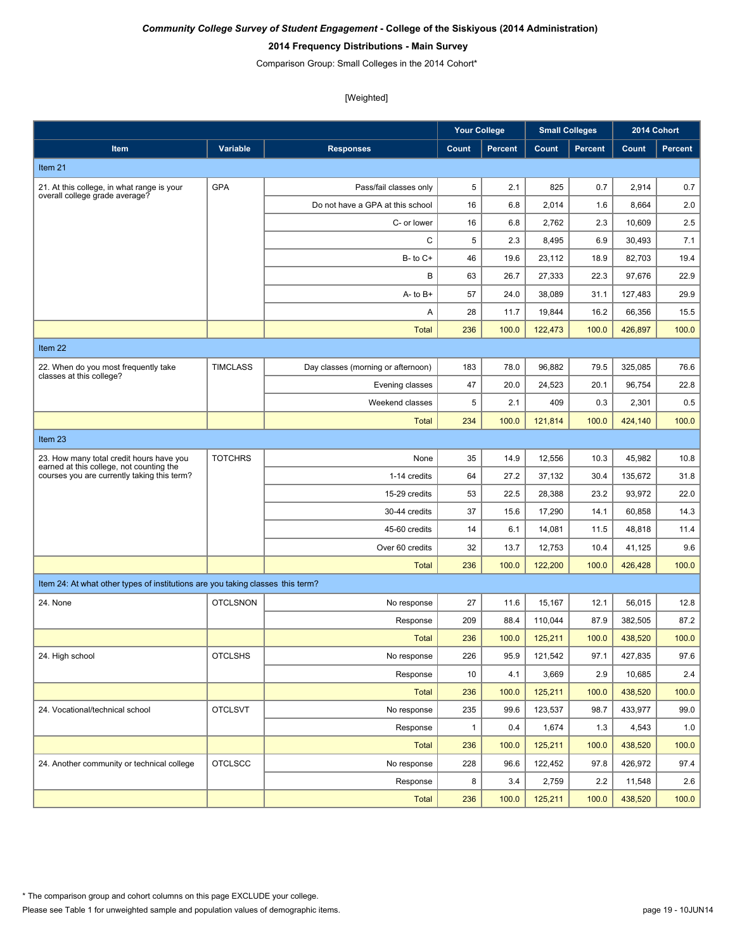# **2014 Frequency Distributions - Main Survey**

Comparison Group: Small Colleges in the 2014 Cohort\*

|                                                                                         |                 |                                    | <b>Your College</b> |                | <b>Small Colleges</b> |                |         | 2014 Cohort |
|-----------------------------------------------------------------------------------------|-----------------|------------------------------------|---------------------|----------------|-----------------------|----------------|---------|-------------|
| Item                                                                                    | Variable        | <b>Responses</b>                   | Count               | <b>Percent</b> | Count                 | <b>Percent</b> | Count   | Percent     |
| Item 21                                                                                 |                 |                                    |                     |                |                       |                |         |             |
| 21. At this college, in what range is your                                              | <b>GPA</b>      | Pass/fail classes only             | 5                   | 2.1            | 825                   | 0.7            | 2,914   | 0.7         |
| overall college grade average?                                                          |                 | Do not have a GPA at this school   | 16                  | 6.8            | 2,014                 | 1.6            | 8,664   | 2.0         |
|                                                                                         |                 | C- or lower                        | 16                  | 6.8            | 2,762                 | 2.3            | 10,609  | 2.5         |
|                                                                                         |                 | C                                  | 5                   | 2.3            | 8,495                 | 6.9            | 30.493  | 7.1         |
|                                                                                         |                 | $B - to C +$                       | 46                  | 19.6           | 23,112                | 18.9           | 82.703  | 19.4        |
|                                                                                         |                 | В                                  | 63                  | 26.7           | 27,333                | 22.3           | 97,676  | 22.9        |
|                                                                                         |                 | $A - to B +$                       | 57                  | 24.0           | 38.089                | 31.1           | 127,483 | 29.9        |
|                                                                                         |                 | Α                                  | 28                  | 11.7           | 19,844                | 16.2           | 66,356  | 15.5        |
|                                                                                         |                 | <b>Total</b>                       | 236                 | 100.0          | 122,473               | 100.0          | 426,897 | 100.0       |
| Item 22                                                                                 |                 |                                    |                     |                |                       |                |         |             |
| 22. When do you most frequently take                                                    | <b>TIMCLASS</b> | Day classes (morning or afternoon) | 183                 | 78.0           | 96,882                | 79.5           | 325,085 | 76.6        |
| classes at this college?                                                                |                 | Evening classes                    | 47                  | 20.0           | 24,523                | 20.1           | 96,754  | 22.8        |
|                                                                                         |                 | Weekend classes                    | 5                   | 2.1            | 409                   | 0.3            | 2,301   | 0.5         |
|                                                                                         |                 | <b>Total</b>                       | 234                 | 100.0          | 121,814               | 100.0          | 424,140 | 100.0       |
| Item 23                                                                                 |                 |                                    |                     |                |                       |                |         |             |
| 23. How many total credit hours have you                                                | <b>TOTCHRS</b>  | None                               | 35                  | 14.9           | 12,556                | 10.3           | 45,982  | 10.8        |
| earned at this college, not counting the<br>courses you are currently taking this term? |                 | 1-14 credits                       | 64                  | 27.2           | 37,132                | 30.4           | 135,672 | 31.8        |
|                                                                                         |                 | 15-29 credits                      | 53                  | 22.5           | 28,388                | 23.2           | 93,972  | 22.0        |
|                                                                                         |                 | 30-44 credits                      | 37                  | 15.6           | 17,290                | 14.1           | 60,858  | 14.3        |
|                                                                                         |                 | 45-60 credits                      | 14                  | 6.1            | 14,081                | 11.5           | 48,818  | 11.4        |
|                                                                                         |                 | Over 60 credits                    | 32                  | 13.7           | 12,753                | 10.4           | 41,125  | 9.6         |
|                                                                                         |                 | <b>Total</b>                       | 236                 | 100.0          | 122,200               | 100.0          | 426,428 | 100.0       |
| Item 24: At what other types of institutions are you taking classes this term?          |                 |                                    |                     |                |                       |                |         |             |
| 24. None                                                                                | <b>OTCLSNON</b> | No response                        | 27                  | 11.6           | 15,167                | 12.1           | 56,015  | 12.8        |
|                                                                                         |                 | Response                           | 209                 | 88.4           | 110,044               | 87.9           | 382,505 | 87.2        |
|                                                                                         |                 | <b>Total</b>                       | 236                 | 100.0          | 125,211               | 100.0          | 438,520 | 100.0       |
| 24. High school                                                                         | <b>OTCLSHS</b>  | No response                        | 226                 | 95.9           | 121,542               | 97.1           | 427,835 | $97.6\,$    |
|                                                                                         |                 | Response                           | 10                  | 4.1            | 3,669                 | 2.9            | 10,685  | 2.4         |
|                                                                                         |                 | <b>Total</b>                       | 236                 | 100.0          | 125,211               | 100.0          | 438,520 | 100.0       |
| 24. Vocational/technical school                                                         | <b>OTCLSVT</b>  | No response                        | 235                 | 99.6           | 123,537               | 98.7           | 433,977 | 99.0        |
|                                                                                         |                 | Response                           | $\mathbf{1}$        | 0.4            | 1,674                 | 1.3            | 4,543   | 1.0         |
|                                                                                         |                 | <b>Total</b>                       | 236                 | 100.0          | 125,211               | 100.0          | 438,520 | 100.0       |
| 24. Another community or technical college                                              | <b>OTCLSCC</b>  | No response                        | 228                 | 96.6           | 122,452               | 97.8           | 426,972 | 97.4        |
|                                                                                         |                 | Response                           | 8                   | 3.4            | 2,759                 | 2.2            | 11,548  | 2.6         |
|                                                                                         |                 | <b>Total</b>                       | 236                 | 100.0          | 125,211               | 100.0          | 438,520 | 100.0       |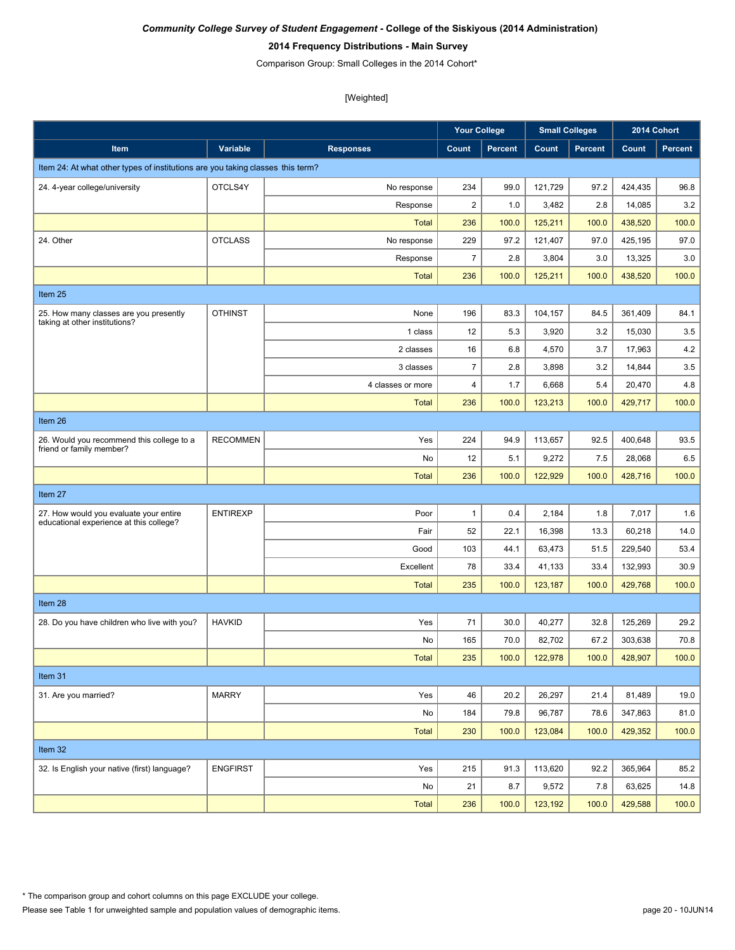### **2014 Frequency Distributions - Main Survey**

Comparison Group: Small Colleges in the 2014 Cohort\*

|                                                                                   |                 |                   | <b>Your College</b>     |                | <b>Small Colleges</b> |         | 2014 Cohort |         |
|-----------------------------------------------------------------------------------|-----------------|-------------------|-------------------------|----------------|-----------------------|---------|-------------|---------|
| Item                                                                              | Variable        | <b>Responses</b>  | Count                   | <b>Percent</b> | Count                 | Percent | Count       | Percent |
| Item 24: At what other types of institutions are you taking classes this term?    |                 |                   |                         |                |                       |         |             |         |
| 24. 4-year college/university                                                     | OTCLS4Y         | No response       | 234                     | 99.0           | 121,729               | 97.2    | 424,435     | 96.8    |
|                                                                                   |                 | Response          | $\overline{\mathbf{c}}$ | 1.0            | 3,482                 | 2.8     | 14,085      | 3.2     |
|                                                                                   |                 | <b>Total</b>      | 236                     | 100.0          | 125,211               | 100.0   | 438,520     | 100.0   |
| 24. Other                                                                         | <b>OTCLASS</b>  | No response       | 229                     | 97.2           | 121,407               | 97.0    | 425,195     | 97.0    |
|                                                                                   |                 | Response          | $\boldsymbol{7}$        | 2.8            | 3,804                 | 3.0     | 13,325      | 3.0     |
|                                                                                   |                 | <b>Total</b>      | 236                     | 100.0          | 125,211               | 100.0   | 438,520     | 100.0   |
| Item 25                                                                           |                 |                   |                         |                |                       |         |             |         |
| 25. How many classes are you presently<br>taking at other institutions?           | <b>OTHINST</b>  | None              | 196                     | 83.3           | 104,157               | 84.5    | 361,409     | 84.1    |
|                                                                                   |                 | 1 class           | 12                      | 5.3            | 3,920                 | 3.2     | 15,030      | 3.5     |
|                                                                                   |                 | 2 classes         | 16                      | 6.8            | 4,570                 | 3.7     | 17,963      | 4.2     |
|                                                                                   |                 | 3 classes         | $\overline{7}$          | 2.8            | 3,898                 | 3.2     | 14,844      | 3.5     |
|                                                                                   |                 | 4 classes or more | 4                       | 1.7            | 6,668                 | 5.4     | 20,470      | 4.8     |
|                                                                                   |                 | <b>Total</b>      | 236                     | 100.0          | 123,213               | 100.0   | 429,717     | 100.0   |
| Item 26                                                                           |                 |                   |                         |                |                       |         |             |         |
| 26. Would you recommend this college to a<br>friend or family member?             | <b>RECOMMEN</b> | Yes               | 224                     | 94.9           | 113,657               | 92.5    | 400,648     | 93.5    |
|                                                                                   |                 | No                | 12                      | 5.1            | 9,272                 | 7.5     | 28,068      | 6.5     |
|                                                                                   |                 | <b>Total</b>      | 236                     | 100.0          | 122,929               | 100.0   | 428,716     | 100.0   |
| Item 27                                                                           |                 |                   |                         |                |                       |         |             |         |
| 27. How would you evaluate your entire<br>educational experience at this college? | <b>ENTIREXP</b> | Poor              | $\mathbf{1}$            | 0.4            | 2,184                 | 1.8     | 7,017       | 1.6     |
|                                                                                   |                 | Fair              | 52                      | 22.1           | 16,398                | 13.3    | 60,218      | 14.0    |
|                                                                                   |                 | Good              | 103                     | 44.1           | 63,473                | 51.5    | 229,540     | 53.4    |
|                                                                                   |                 | Excellent         | 78                      | 33.4           | 41,133                | 33.4    | 132,993     | 30.9    |
|                                                                                   |                 | <b>Total</b>      | 235                     | 100.0          | 123,187               | 100.0   | 429,768     | 100.0   |
| Item 28                                                                           |                 |                   |                         |                |                       |         |             |         |
| 28. Do you have children who live with you?                                       | <b>HAVKID</b>   | Yes               | 71                      | 30.0           | 40,277                | 32.8    | 125,269     | 29.2    |
|                                                                                   |                 | No                | 165                     | 70.0           | 82,702                | 67.2    | 303,638     | 70.8    |
|                                                                                   |                 | Total             | 235                     | 100.0          | 122,978               | 100.0   | 428,907     | 100.0   |
| Item 31                                                                           |                 |                   |                         |                |                       |         |             |         |
| 31. Are you married?                                                              | <b>MARRY</b>    | Yes               | 46                      | 20.2           | 26,297                | 21.4    | 81,489      | 19.0    |
|                                                                                   |                 | No                | 184                     | 79.8           | 96,787                | 78.6    | 347,863     | 81.0    |
|                                                                                   |                 | <b>Total</b>      | 230                     | 100.0          | 123,084               | 100.0   | 429,352     | 100.0   |
| Item 32                                                                           |                 |                   |                         |                |                       |         |             |         |
| 32. Is English your native (first) language?                                      | <b>ENGFIRST</b> | Yes               | 215                     | 91.3           | 113,620               | 92.2    | 365,964     | 85.2    |
|                                                                                   |                 | No                | 21                      | 8.7            | 9,572                 | 7.8     | 63,625      | 14.8    |
|                                                                                   |                 | <b>Total</b>      | 236                     | 100.0          | 123,192               | 100.0   | 429,588     | 100.0   |